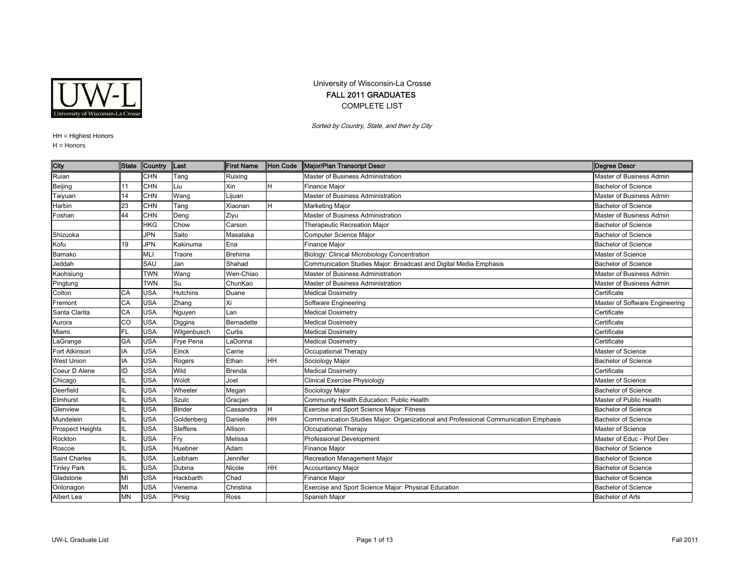

## University of Wisconsin-La Crosse FALL 2011 GRADUATES COMPLETE LIST

Sorted by Country, State, and then by City

## HH <sup>=</sup> Highest Honors

H = Honors

| City                    | <b>State</b> | Country    | Last            | <b>First Name</b> | <b>Hon Code</b> | Major/Plan Transcript Descr                                                         | <b>Degree Descr</b>            |
|-------------------------|--------------|------------|-----------------|-------------------|-----------------|-------------------------------------------------------------------------------------|--------------------------------|
| Ruian                   |              | <b>CHN</b> | Tang            | Ruixing           |                 | Master of Business Administration                                                   | Master of Business Admin       |
| Beijing                 | 11           | <b>CHN</b> | Liu             | Xin               | H               | Finance Major                                                                       | <b>Bachelor of Science</b>     |
| Taiyuan                 | 14           | <b>CHN</b> | Wang            | Lijuan            |                 | Master of Business Administration                                                   | Master of Business Admin       |
| Harbin                  | 23           | <b>CHN</b> | Tang            | Xiaonan           | H               | <b>Marketing Major</b>                                                              | <b>Bachelor of Science</b>     |
| Foshan                  | 44           | <b>CHN</b> | Deng            | Ziyu              |                 | Master of Business Administration                                                   | Master of Business Admin       |
|                         |              | <b>HKG</b> | Chow            | Carson            |                 | Therapeutic Recreation Major                                                        | <b>Bachelor of Science</b>     |
| Shizuoka                |              | <b>JPN</b> | Saito           | Masataka          |                 | Computer Science Major                                                              | <b>Bachelor of Science</b>     |
| Kofu                    | 19           | <b>JPN</b> | Kakinuma        | Ena               |                 | Finance Major                                                                       | <b>Bachelor of Science</b>     |
| Bamako                  |              | <b>MLI</b> | Traore          | <b>Brehima</b>    |                 | Biology: Clinical Microbiology Concentration                                        | Master of Science              |
| Jeddah                  |              | SAU        | Jan             | Shahad            |                 | Communication Studies Major: Broadcast and Digital Media Emphasis                   | <b>Bachelor of Science</b>     |
| Kaohsiung               |              | <b>TWN</b> | Wang            | Wen-Chiao         |                 | Master of Business Administration                                                   | Master of Business Admin       |
| Pingtung                |              | <b>TWN</b> | Su              | ChunKao           |                 | Master of Business Administration                                                   | Master of Business Admin       |
| Colton                  | CA           | <b>USA</b> | <b>Hutchins</b> | Duane             |                 | <b>Medical Dosimetry</b>                                                            | Certificate                    |
| Fremont                 | CA           | <b>USA</b> | Zhang           | Xi                |                 | Software Engineering                                                                | Master of Software Engineering |
| Santa Clarita           | CA           | <b>USA</b> | Nguyen          | Lan               |                 | <b>Medical Dosimetry</b>                                                            | Certificate                    |
| Aurora                  | CO           | <b>USA</b> | Diggins         | Bernadette        |                 | <b>Medical Dosimetry</b>                                                            | Certificate                    |
| Miami                   | <b>FL</b>    | <b>USA</b> | Wilgenbusch     | Curtis            |                 | <b>Medical Dosimetry</b>                                                            | Certificate                    |
| LaGrange                | <b>GA</b>    | <b>USA</b> | Frye Pena       | LaDonna           |                 | <b>Medical Dosimetry</b>                                                            | Certificate                    |
| Fort Atkinson           | IA           | <b>USA</b> | Einck           | Carrie            |                 | Occupational Therapy                                                                | Master of Science              |
| <b>West Union</b>       | IA           | <b>USA</b> | Rogers          | Ethan             | HH              | Sociology Major                                                                     | <b>Bachelor of Science</b>     |
| Coeur D Alene           | ID           | <b>USA</b> | Wild            | Brenda            |                 | <b>Medical Dosimetry</b>                                                            | Certificate                    |
| Chicago                 | IL           | <b>USA</b> | Woldt           | Joel              |                 | <b>Clinical Exercise Physiology</b>                                                 | Master of Science              |
| Deerfield               | IL           | <b>USA</b> | Wheeler         | Megan             |                 | Sociology Major                                                                     | <b>Bachelor of Science</b>     |
| Elmhurst                | IL           | <b>USA</b> | Szulc           | Gracjan           |                 | Community Health Education: Public Health                                           | Master of Public Health        |
| Glenview                | IL           | <b>USA</b> | <b>Binder</b>   | Cassandra         | H               | Exercise and Sport Science Major: Fitness                                           | <b>Bachelor of Science</b>     |
| Mundelein               | IL           | <b>USA</b> | Goldenberg      | Danielle          | Iнн             | Communication Studies Major: Organizational and Professional Communication Emphasis | <b>Bachelor of Science</b>     |
| <b>Prospect Heights</b> | IL           | <b>USA</b> | <b>Steffens</b> | Allison           |                 | Occupational Therapy                                                                | Master of Science              |
| Rockton                 | IL           | <b>USA</b> | Fry             | Melissa           |                 | <b>Professional Development</b>                                                     | Master of Educ - Prof Dev      |
| Roscoe                  | IL           | <b>USA</b> | Huebner         | Adam              |                 | Finance Major                                                                       | <b>Bachelor of Science</b>     |
| <b>Saint Charles</b>    | IL           | <b>USA</b> | Leibham         | Jennifer          |                 | Recreation Management Major                                                         | <b>Bachelor of Science</b>     |
| <b>Tinley Park</b>      | IL           | <b>USA</b> | Dubina          | Nicole            | <b>HH</b>       | <b>Accountancy Major</b>                                                            | <b>Bachelor of Science</b>     |
| Gladstone               | MI           | <b>USA</b> | Hackbarth       | Chad              |                 | Finance Major                                                                       | <b>Bachelor of Science</b>     |
| Ontonagon               | MI           | <b>USA</b> | Venema          | Christina         |                 | Exercise and Sport Science Major: Physical Education                                | <b>Bachelor of Science</b>     |
| Albert Lea              | <b>MN</b>    | <b>USA</b> | Pirsig          | Ross              |                 | Spanish Major                                                                       | <b>Bachelor of Arts</b>        |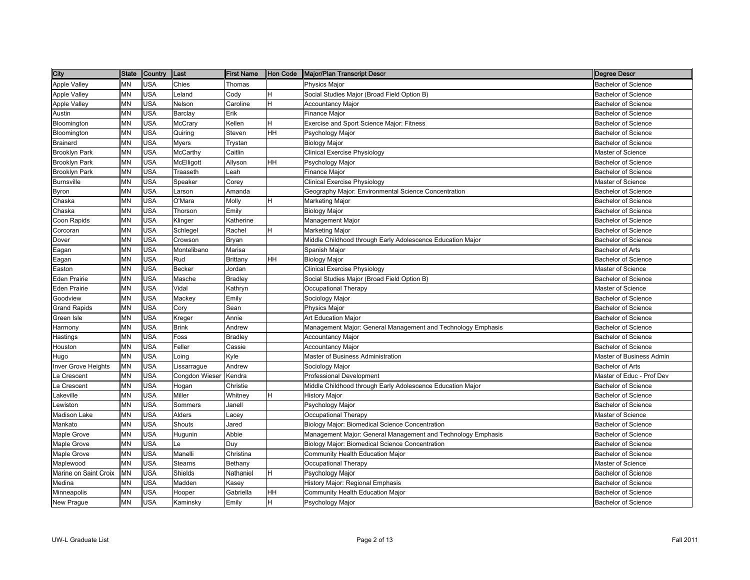| City                       | <b>State</b> | Country    | Last           | <b>First Name</b> | Hon Code | Major/Plan Transcript Descr                                  | Degree Descr               |
|----------------------------|--------------|------------|----------------|-------------------|----------|--------------------------------------------------------------|----------------------------|
| Apple Valley               | <b>MN</b>    | <b>USA</b> | Chies          | Thomas            |          | <b>Physics Major</b>                                         | <b>Bachelor of Science</b> |
| <b>Apple Valley</b>        | MN           | USA        | Leland         | Cody              | H        | Social Studies Major (Broad Field Option B)                  | <b>Bachelor of Science</b> |
| Apple Valley               | <b>MN</b>    | <b>USA</b> | Nelson         | Caroline          | ΙH.      | <b>Accountancy Major</b>                                     | <b>Bachelor of Science</b> |
| Austin                     | <b>MN</b>    | <b>USA</b> | Barclay        | Erik              |          | Finance Major                                                | <b>Bachelor of Science</b> |
| Bloomington                | <b>MN</b>    | <b>USA</b> | McCrary        | Kellen            | H        | Exercise and Sport Science Major: Fitness                    | <b>Bachelor of Science</b> |
| Bloomington                | <b>MN</b>    | <b>USA</b> | Quiring        | Steven            | HH       | Psychology Major                                             | <b>Bachelor of Science</b> |
| <b>Brainerd</b>            | <b>MN</b>    | <b>USA</b> | Myers          | Trystan           |          | <b>Biology Major</b>                                         | <b>Bachelor of Science</b> |
| <b>Brooklyn Park</b>       | MN           | <b>USA</b> | McCarthy       | Caitlin           |          | <b>Clinical Exercise Physiology</b>                          | Master of Science          |
| <b>Brooklyn Park</b>       | MN           | <b>USA</b> | McElligott     | Allyson           | HH       | Psychology Major                                             | <b>Bachelor of Science</b> |
| <b>Brooklyn Park</b>       | <b>MN</b>    | <b>USA</b> | Traaseth       | Leah              |          | Finance Major                                                | <b>Bachelor of Science</b> |
| <b>Burnsville</b>          | MN           | <b>USA</b> | Speaker        | Corey             |          | Clinical Exercise Physiology                                 | Master of Science          |
| Byron                      | <b>MN</b>    | <b>USA</b> | Larson         | Amanda            |          | Geography Major: Environmental Science Concentration         | <b>Bachelor of Science</b> |
| Chaska                     | <b>MN</b>    | <b>USA</b> | O'Mara         | Molly             | H.       | Marketing Major                                              | <b>Bachelor of Science</b> |
| Chaska                     | MN           | USA        | Thorson        | Emily             |          | Biology Major                                                | <b>Bachelor of Science</b> |
| Coon Rapids                | MN           | <b>USA</b> | Klinger        | Katherine         |          | Management Major                                             | <b>Bachelor of Science</b> |
| Corcoran                   | <b>MN</b>    | <b>USA</b> | Schlegel       | Rachel            | ΙH.      | Marketing Major                                              | <b>Bachelor of Science</b> |
| Dover                      | MN           | USA        | Crowson        | Bryan             |          | Middle Childhood through Early Adolescence Education Major   | <b>Bachelor of Science</b> |
| Eagan                      | MN           | <b>USA</b> | Montelibano    | Marisa            |          | Spanish Major                                                | <b>Bachelor of Arts</b>    |
| Eagan                      | <b>MN</b>    | <b>USA</b> | Rud            | Brittany          | HH       | Biology Major                                                | <b>Bachelor of Science</b> |
| Easton                     | MN           | <b>USA</b> | Becker         | Jordan            |          | Clinical Exercise Physiology                                 | Master of Science          |
| <b>Eden Prairie</b>        | MN           | <b>USA</b> | Masche         | Bradley           |          | Social Studies Major (Broad Field Option B)                  | <b>Bachelor of Science</b> |
| Eden Prairie               | MN           | <b>USA</b> | Vidal          | Kathryn           |          | Occupational Therapy                                         | Master of Science          |
| Goodview                   | <b>MN</b>    | <b>USA</b> | Mackey         | Emily             |          | Sociology Major                                              | <b>Bachelor of Science</b> |
| <b>Grand Rapids</b>        | MN           | <b>USA</b> | Cory           | Sean              |          | Physics Major                                                | <b>Bachelor of Science</b> |
| Green Isle                 | MN           | <b>USA</b> | Kreger         | Annie             |          | Art Education Major                                          | <b>Bachelor of Science</b> |
| Harmony                    | <b>MN</b>    | <b>USA</b> | <b>Brink</b>   | Andrew            |          | Management Major: General Management and Technology Emphasis | <b>Bachelor of Science</b> |
| Hastings                   | <b>MN</b>    | <b>USA</b> | Foss           | Bradley           |          | <b>Accountancy Major</b>                                     | <b>Bachelor of Science</b> |
| Houston                    | MN           | <b>USA</b> | Feller         | Cassie            |          | <b>Accountancy Major</b>                                     | <b>Bachelor of Science</b> |
| Hugo                       | <b>MN</b>    | <b>USA</b> | _oing          | Kyle              |          | Master of Business Administration                            | Master of Business Admin   |
| <b>Inver Grove Heights</b> | MN           | USA        | _issarrague    | Andrew            |          | Sociology Major                                              | Bachelor of Arts           |
| La Crescent                | MN           | USA        | Congdon Wieser | Kendra            |          | <b>Professional Development</b>                              | Master of Educ - Prof Dev  |
| La Crescent                | <b>MN</b>    | <b>USA</b> | Hogan          | Christie          |          | Middle Childhood through Early Adolescence Education Major   | <b>Bachelor of Science</b> |
| Lakeville                  | <b>MN</b>    | <b>USA</b> | Miller         | Whitney           | ΙH.      | History Major                                                | <b>Bachelor of Science</b> |
| Lewiston                   | MN           | <b>USA</b> | Sommers        | Janell            |          | Psychology Major                                             | <b>Bachelor of Science</b> |
| Madison Lake               | MN           | <b>USA</b> | Alders         | _acey             |          | Occupational Therapy                                         | Master of Science          |
| Mankato                    | <b>MN</b>    | <b>USA</b> | Shouts         | Jared             |          | Biology Major: Biomedical Science Concentration              | <b>Bachelor of Science</b> |
| Maple Grove                | MN           | <b>USA</b> | Hugunin        | Abbie             |          | Management Major: General Management and Technology Emphasis | <b>Bachelor of Science</b> |
| Maple Grove                | MN           | <b>USA</b> | Le             | Duy               |          | Biology Major: Biomedical Science Concentration              | <b>Bachelor of Science</b> |
| Maple Grove                | <b>MN</b>    | <b>USA</b> | Manelli        | Christina         |          | Community Health Education Major                             | <b>Bachelor of Science</b> |
| Maplewood                  | MN           | USA        | Stearns        | Bethany           |          | Occupational Therapy                                         | Master of Science          |
| Marine on Saint Croix      | MN           | <b>USA</b> | Shields        | Nathaniel         | н        | Psychology Major                                             | <b>Bachelor of Science</b> |
| Medina                     | <b>MN</b>    | <b>USA</b> | Madden         | Kasey             |          | History Major: Regional Emphasis                             | <b>Bachelor of Science</b> |
| Minneapolis                | MN           | USA        | Hooper         | Gabriella         | HH       | Community Health Education Major                             | <b>Bachelor of Science</b> |
| New Prague                 | MN           | <b>USA</b> | Kaminsky       | Emily             | H        | Psychology Major                                             | <b>Bachelor of Science</b> |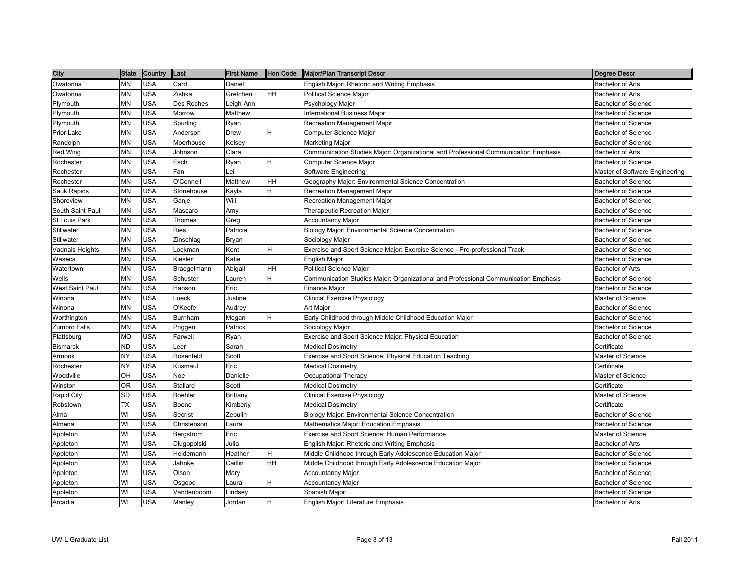| City             | <b>State</b> | Country    | Last        | <b>First Name</b> | Hon Code | Major/Plan Transcript Descr                                                         | Degree Descr                   |
|------------------|--------------|------------|-------------|-------------------|----------|-------------------------------------------------------------------------------------|--------------------------------|
| Owatonna         | MN           | <b>USA</b> | Card        | Daniel            |          | English Major: Rhetoric and Writing Emphasis                                        | <b>Bachelor of Arts</b>        |
| Owatonna         | MN           | <b>USA</b> | Zishka      | Gretchen          | HН       | <b>Political Science Major</b>                                                      | <b>Bachelor of Arts</b>        |
| Plymouth         | ΜN           | <b>USA</b> | Des Roches  | eigh-Ann_         |          | Psychology Major                                                                    | <b>Bachelor of Science</b>     |
| Plymouth         | MN           | <b>USA</b> | Morrow      | Matthew           |          | <b>International Business Major</b>                                                 | <b>Bachelor of Science</b>     |
| Plymouth         | MN           | <b>USA</b> | Spurling    | Ryan              |          | Recreation Management Major                                                         | <b>Bachelor of Science</b>     |
| Prior Lake       | MN           | <b>USA</b> | Anderson    | Drew              | н        | Computer Science Major                                                              | <b>Bachelor of Science</b>     |
| Randolph         | MN           | <b>USA</b> | Moorhouse   | Kelsey            |          | Marketing Major                                                                     | <b>Bachelor of Science</b>     |
| Red Wing         | MN           | <b>USA</b> | Johnson     | Clara             |          | Communication Studies Major: Organizational and Professional Communication Emphasis | <b>Bachelor of Arts</b>        |
| Rochester        | ΜN           | <b>USA</b> | Esch        | Ryan              | H        | Computer Science Major                                                              | <b>Bachelor of Science</b>     |
| Rochester        | MN           | <b>USA</b> | Fan         | ei.               |          | Software Engineering                                                                | Master of Software Engineering |
| Rochester        | MN           | <b>USA</b> | O'Connell   | Matthew           | HН       | Geography Major: Environmental Science Concentration                                | <b>Bachelor of Science</b>     |
| Sauk Rapids      | MN           | <b>USA</b> | Stonehouse  | Kayla             | H        | Recreation Management Major                                                         | <b>Bachelor of Science</b>     |
| Shoreview        | <b>MN</b>    | <b>USA</b> | Ganje       | Will              |          | Recreation Management Major                                                         | <b>Bachelor of Science</b>     |
| South Saint Paul | MN           | <b>USA</b> | Mascaro     | Amy               |          | Therapeutic Recreation Major                                                        | <b>Bachelor of Science</b>     |
| St Louis Park    | ΜN           | <b>USA</b> | Thomes      | Greg              |          | <b>Accountancy Major</b>                                                            | <b>Bachelor of Science</b>     |
| Stillwater       | MN           | <b>USA</b> | Ries        | Patricia          |          | Biology Major: Environmental Science Concentration                                  | <b>Bachelor of Science</b>     |
| Stillwater       | MN           | <b>USA</b> | Zinschlag   | Bryan             |          | Sociology Major                                                                     | <b>Bachelor of Science</b>     |
| Vadnais Heights  | MN           | <b>USA</b> | Lockman     | Kent              | н        | Exercise and Sport Science Major: Exercise Science - Pre-professional Track         | <b>Bachelor of Science</b>     |
| Waseca           | ΜN           | <b>USA</b> | Kiesler     | Katie             |          | <b>English Major</b>                                                                | <b>Bachelor of Science</b>     |
| Watertown        | ΜN           | <b>USA</b> | Braegelmann | Abigail           | HН       | Political Science Major                                                             | <b>Bachelor of Arts</b>        |
| Wells            | <b>MN</b>    | <b>USA</b> | Schuster    | auren             | Н        | Communication Studies Major: Organizational and Professional Communication Emphasis | <b>Bachelor of Science</b>     |
| West Saint Paul  | MN           | <b>USA</b> | Hanson      | Eric              |          | Finance Major                                                                       | <b>Bachelor of Science</b>     |
| Winona           | ΜN           | <b>USA</b> | Lueck       | Justine           |          | Clinical Exercise Physiology                                                        | Master of Science              |
| Ninona           | MN           | <b>USA</b> | O'Keefe     | Audrey            |          | Art Major                                                                           | <b>Bachelor of Science</b>     |
| Northington      | ΜN           | <b>USA</b> | Burnham     | Megan             | H        | Early Childhood through Middle Childhood Education Major                            | <b>Bachelor of Science</b>     |
| Zumbro Falls     | MN           | <b>USA</b> | Priggen     | Patrick           |          | Sociology Major                                                                     | <b>Bachelor of Science</b>     |
| Plattsburg       | МO           | <b>USA</b> | Farwell     | Ryan              |          | Exercise and Sport Science Major: Physical Education                                | <b>Bachelor of Science</b>     |
| <b>Bismarck</b>  | <b>ND</b>    | <b>USA</b> | Leer        | Sarah             |          | <b>Medical Dosimetry</b>                                                            | Certificate                    |
| Armonk           | NY           | <b>USA</b> | Rosenfeld   | Scott             |          | Exercise and Sport Science: Physical Education Teaching                             | Master of Science              |
| Rochester        | NY           | <b>USA</b> | Kusmaul     | Eric              |          | <b>Medical Dosimetry</b>                                                            | Certificate                    |
| Woodville        | OН           | <b>USA</b> | Noe         | Danielle          |          | Occupational Therapy                                                                | Master of Science              |
| Winston          | OR           | <b>USA</b> | Stallard    | Scott             |          | <b>Medical Dosimetry</b>                                                            | Certificate                    |
| Rapid City       | SD           | <b>USA</b> | Boehler     | <b>Brittany</b>   |          | Clinical Exercise Physiology                                                        | Master of Science              |
| Robstown         | TX           | <b>USA</b> | Boone       | Kimberly          |          | Medical Dosimetry                                                                   | Certificate                    |
| Alma             | WI           | <b>USA</b> | Secrist     | Zebulin           |          | Biology Major: Environmental Science Concentration                                  | <b>Bachelor of Science</b>     |
| Almena           | WI           | <b>USA</b> | Christenson | Laura             |          | <b>Mathematics Major: Education Emphasis</b>                                        | <b>Bachelor of Science</b>     |
| Appleton         | WI           | <b>USA</b> | Bergstrom   | Eric              |          | Exercise and Sport Science: Human Performance                                       | Master of Science              |
| Appleton         | WI           | <b>USA</b> | Dlugopolski | Julia             |          | English Major: Rhetoric and Writing Emphasis                                        | <b>Bachelor of Arts</b>        |
| Appleton         | WI           | <b>USA</b> | Heidemann   | Heather           | Н        | Middle Childhood through Early Adolescence Education Major                          | <b>Bachelor of Science</b>     |
| Appleton         | WI           | <b>USA</b> | Jahnke      | Caitlin           | HН       | Middle Childhood through Early Adolescence Education Major                          | <b>Bachelor of Science</b>     |
| Appleton         | WI           | <b>USA</b> | Olson       | Mary              |          | Accountancy Major                                                                   | <b>Bachelor of Science</b>     |
| Appleton         | WI           | <b>USA</b> | Osgood      | aura              | н        | <b>Accountancy Major</b>                                                            | <b>Bachelor of Science</b>     |
| Appleton         | WI           | <b>USA</b> | Vandenboom  | _indsey           |          | Spanish Major                                                                       | <b>Bachelor of Science</b>     |
| Arcadia          | WI           | <b>USA</b> | Manley      | Jordan            | н        | English Major: Literature Emphasis                                                  | <b>Bachelor of Arts</b>        |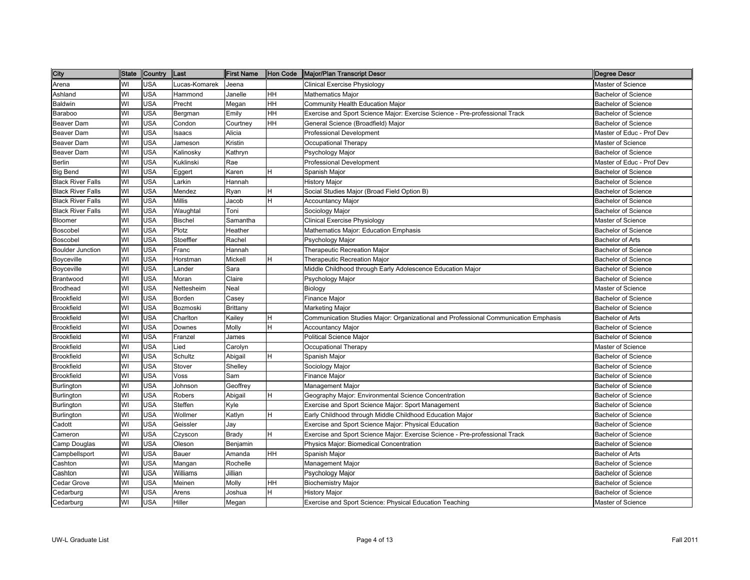| City                     | <b>State</b> | Country    | lLast          | <b>First Name</b> | Hon Code  | Major/Plan Transcript Descr                                                         | Degree Descr               |
|--------------------------|--------------|------------|----------------|-------------------|-----------|-------------------------------------------------------------------------------------|----------------------------|
| Arena                    | WI           | <b>USA</b> | ucas-Komarek   | Jeena             |           | <b>Clinical Exercise Physiology</b>                                                 | Master of Science          |
| Ashland                  | WI           | <b>USA</b> | Hammond        | Janelle           | HH        | Mathematics Major                                                                   | <b>Bachelor of Science</b> |
| Baldwin                  | WI           | <b>USA</b> | Precht         | Megan             | HH        | Community Health Education Major                                                    | <b>Bachelor of Science</b> |
| Baraboo                  | WI           | <b>USA</b> | Bergman        | Emily             | HH        | Exercise and Sport Science Major: Exercise Science - Pre-professional Track         | <b>Bachelor of Science</b> |
| Beaver Dam               | WI           | <b>USA</b> | Condon         | Courtney          | HH        | General Science (Broadfield) Major                                                  | <b>Bachelor of Science</b> |
| Beaver Dam               | WI           | <b>USA</b> | saacs          | Alicia            |           | Professional Development                                                            | Master of Educ - Prof Dev  |
| Beaver Dam               | WI           | <b>USA</b> | Jameson        | Kristin           |           | Occupational Therapy                                                                | Master of Science          |
| Beaver Dam               | WI           | <b>USA</b> | Kalinosky      | Kathryn           |           | Psychology Major                                                                    | <b>Bachelor of Science</b> |
| Berlin                   | WI           | <b>USA</b> | Kuklinski      | Rae               |           | <b>Professional Development</b>                                                     | Master of Educ - Prof Dev  |
| <b>Big Bend</b>          | WI           | <b>USA</b> | Eggert         | Karen             | H         | Spanish Major                                                                       | <b>Bachelor of Science</b> |
| <b>Black River Falls</b> | WI           | <b>USA</b> | Larkin         | Hannah            |           | <b>History Major</b>                                                                | <b>Bachelor of Science</b> |
| <b>Black River Falls</b> | WI           | <b>USA</b> | Mendez         | Ryan              | H         | Social Studies Major (Broad Field Option B)                                         | <b>Bachelor of Science</b> |
| <b>Black River Falls</b> | WI           | <b>USA</b> | Millis         | Jacob             | H         | <b>Accountancy Major</b>                                                            | <b>Bachelor of Science</b> |
| <b>Black River Falls</b> | WI           | <b>USA</b> | Waughtal       | Toni              |           | Sociology Major                                                                     | <b>Bachelor of Science</b> |
| Bloomer                  | WI           | <b>USA</b> | <b>Bischel</b> | Samantha          |           | Clinical Exercise Physiology                                                        | Master of Science          |
| Boscobel                 | WI           | <b>USA</b> | Plotz          | Heather           |           | <b>Mathematics Major: Education Emphasis</b>                                        | <b>Bachelor of Science</b> |
| Boscobel                 | WI           | <b>USA</b> | Stoeffler      | Rachel            |           | Psychology Major                                                                    | <b>Bachelor of Arts</b>    |
| <b>Boulder Junction</b>  | WI           | <b>USA</b> | Franc          | Hannah            |           | Therapeutic Recreation Major                                                        | <b>Bachelor of Science</b> |
| Boyceville               | WI           | <b>USA</b> | Horstman       | Mickell           | H         | Therapeutic Recreation Major                                                        | <b>Bachelor of Science</b> |
| Boyceville               | WI           | <b>USA</b> | _ander         | Sara              |           | Middle Childhood through Early Adolescence Education Major                          | <b>Bachelor of Science</b> |
| Brantwood                | WI           | <b>USA</b> | Moran          | Claire            |           | Psychology Major                                                                    | <b>Bachelor of Science</b> |
| Brodhead                 | WI           | <b>USA</b> | Nettesheim     | Neal              |           | Biology                                                                             | Master of Science          |
| <b>Brookfield</b>        | WI           | <b>USA</b> | Borden         | Casey             |           | Finance Major                                                                       | <b>Bachelor of Science</b> |
| <b>Brookfield</b>        | WI           | <b>USA</b> | Bozmoski       | Brittany          |           | Marketing Major                                                                     | <b>Bachelor of Science</b> |
| <b>Brookfield</b>        | WI           | <b>USA</b> | Charlton       | Kailey            | H         | Communication Studies Major: Organizational and Professional Communication Emphasis | Bachelor of Arts           |
| <b>Brookfield</b>        | WI           | <b>USA</b> | Downes         | Molly             | H         | <b>Accountancy Major</b>                                                            | <b>Bachelor of Science</b> |
| Brookfield               | WI           | <b>USA</b> | Franzel        | James             |           | <b>Political Science Major</b>                                                      | <b>Bachelor of Science</b> |
| <b>Brookfield</b>        | WI           | <b>USA</b> | Lied           | Carolyn           |           | Occupational Therapy                                                                | Master of Science          |
| <b>Brookfield</b>        | WI           | <b>USA</b> | Schultz        | Abigail           | H         | Spanish Major                                                                       | <b>Bachelor of Science</b> |
| <b>Brookfield</b>        | WI           | <b>USA</b> | Stover         | Shelley           |           | Sociology Major                                                                     | <b>Bachelor of Science</b> |
| Brookfield               | WI           | <b>USA</b> | Voss           | Sam               |           | <b>Finance Major</b>                                                                | <b>Bachelor of Science</b> |
| Burlington               | WI           | <b>USA</b> | Johnson        | Geoffrey          |           | Management Major                                                                    | <b>Bachelor of Science</b> |
| Burlington               | WI           | <b>USA</b> | Robers         | Abigail           | н         | Geography Major: Environmental Science Concentration                                | <b>Bachelor of Science</b> |
| Burlington               | WI           | <b>USA</b> | Steffen        | Kyle              |           | Exercise and Sport Science Major: Sport Management                                  | <b>Bachelor of Science</b> |
| Burlington               | WI           | <b>USA</b> | Wollmer        | Katlyn            | н         | Early Childhood through Middle Childhood Education Major                            | <b>Bachelor of Science</b> |
| Cadott                   | WI           | <b>USA</b> | Geissler       | Jay               |           | Exercise and Sport Science Major: Physical Education                                | <b>Bachelor of Science</b> |
| Cameron                  | WI           | <b>USA</b> | Czyscon        | Brady             | H         | Exercise and Sport Science Major: Exercise Science - Pre-professional Track         | <b>Bachelor of Science</b> |
| Camp Douglas             | WI           | <b>USA</b> | Oleson         | Benjamin          |           | Physics Major: Biomedical Concentration                                             | <b>Bachelor of Science</b> |
| Campbellsport            | WI           | <b>USA</b> | Bauer          | Amanda            | <b>HH</b> | Spanish Major                                                                       | <b>Bachelor of Arts</b>    |
| Cashton                  | WI           | <b>USA</b> | Mangan         | Rochelle          |           | Management Major                                                                    | <b>Bachelor of Science</b> |
| Cashton                  | WI           | <b>USA</b> | Williams       | Jillian           |           | Psychology Major                                                                    | <b>Bachelor of Science</b> |
| Cedar Grove              | WI           | <b>USA</b> | Meinen         | Molly             | HH        | <b>Biochemistry Major</b>                                                           | <b>Bachelor of Science</b> |
| Cedarburg                | WI           | <b>USA</b> | Arens          | Joshua            | H         | <b>History Major</b>                                                                | <b>Bachelor of Science</b> |
| Cedarburg                | WI           | <b>USA</b> | Hiller         | Megan             |           | Exercise and Sport Science: Physical Education Teaching                             | Master of Science          |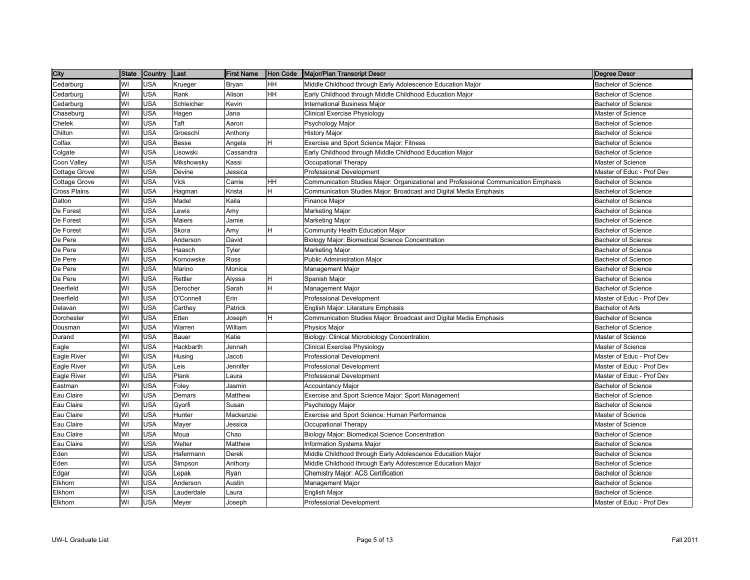| City                 | <b>State</b> | Country    | Last         | <b>First Name</b> | Hon Code | Major/Plan Transcript Descr                                                         | Degree Descr               |
|----------------------|--------------|------------|--------------|-------------------|----------|-------------------------------------------------------------------------------------|----------------------------|
| Cedarburg            | WI           | <b>USA</b> | Krueger      | Bryan             | HH       | Middle Childhood through Early Adolescence Education Major                          | <b>Bachelor of Science</b> |
| Cedarburg            | WI           | USA        | Rank         | Alison            | HH       | Early Childhood through Middle Childhood Education Major                            | <b>Bachelor of Science</b> |
| Cedarburg            | WI           | <b>USA</b> | Schleicher   | Kevin             |          | International Business Major                                                        | <b>Bachelor of Science</b> |
| Chaseburg            | WI           | <b>USA</b> | Hagen        | Jana              |          | <b>Clinical Exercise Physiology</b>                                                 | Master of Science          |
| Chetek               | WI           | USA        | Taft         | Aaron             |          | Psychology Major                                                                    | <b>Bachelor of Science</b> |
| Chilton              | WI           | <b>USA</b> | Groeschl     | Anthony           |          | <b>History Major</b>                                                                | <b>Bachelor of Science</b> |
| Colfax               | WI           | USA        | <b>Besse</b> | Angela            | H        | <b>Exercise and Sport Science Major: Fitness</b>                                    | <b>Bachelor of Science</b> |
| Colgate              | WI           | <b>USA</b> | Lisowski     | Cassandra         |          | Early Childhood through Middle Childhood Education Major                            | <b>Bachelor of Science</b> |
| Coon Valley          | WI           | <b>USA</b> | Mikshowsky   | Kassi             |          | Occupational Therapy                                                                | Master of Science          |
| Cottage Grove        | WI           | <b>USA</b> | Devine       | Jessica           |          | <b>Professional Development</b>                                                     | Master of Educ - Prof Dev  |
| <b>Cottage Grove</b> | WI           | <b>USA</b> | Vick         | Carrie            | HH       | Communication Studies Major: Organizational and Professional Communication Emphasis | <b>Bachelor of Science</b> |
| Cross Plains         | WI           | <b>USA</b> | Hagman       | Krista            | H        | Communication Studies Major: Broadcast and Digital Media Emphasis                   | <b>Bachelor of Science</b> |
| Dalton               | WI           | <b>USA</b> | Madel        | Kaila             |          | Finance Major                                                                       | <b>Bachelor of Science</b> |
| De Forest            | WI           | <b>USA</b> | _ewis        | Amy               |          | Marketing Major                                                                     | <b>Bachelor of Science</b> |
| De Forest            | WI           | <b>USA</b> | Maiers       | Jamie             |          | Marketing Major                                                                     | <b>Bachelor of Science</b> |
| De Forest            | WI           | <b>USA</b> | Skora        | Amy               | H        | Community Health Education Major                                                    | <b>Bachelor of Science</b> |
| De Pere              | WI           | <b>USA</b> | Anderson     | David             |          | Biology Major: Biomedical Science Concentration                                     | <b>Bachelor of Science</b> |
| De Pere              | WI           | <b>USA</b> | Haasch       | Tyler             |          | Marketing Major                                                                     | <b>Bachelor of Science</b> |
| De Pere              | WI           | <b>USA</b> | Kornowske    | Ross              |          | <b>Public Administration Major</b>                                                  | <b>Bachelor of Science</b> |
| De Pere              | WI           | USA        | Marino       | Monica            |          | Management Major                                                                    | <b>Bachelor of Science</b> |
| De Pere              | WI           | <b>USA</b> | Rettler      | Alyssa            | H        | Spanish Major                                                                       | <b>Bachelor of Science</b> |
| Deerfield            | WI           | <b>USA</b> | Derocher     | Sarah             | H        | Management Major                                                                    | <b>Bachelor of Science</b> |
| Deerfield            | WI           | USA        | O'Connell    | Erin              |          | Professional Development                                                            | Master of Educ - Prof Dev  |
| Delavan              | WI           | <b>USA</b> | Carthey      | Patrick           |          | English Major: Literature Emphasis                                                  | <b>Bachelor of Arts</b>    |
| Dorchester           | WI           | <b>USA</b> | Etten        | Joseph            | H        | Communication Studies Major: Broadcast and Digital Media Emphasis                   | <b>Bachelor of Science</b> |
| Dousman              | WI           | <b>USA</b> | Warren       | William           |          | Physics Major                                                                       | <b>Bachelor of Science</b> |
| Durand               | WI           | <b>USA</b> | Bauer        | Katie             |          | Biology: Clinical Microbiology Concentration                                        | Master of Science          |
| Eagle                | WI           | USA        | Hackbarth    | Jennah            |          | Clinical Exercise Physiology                                                        | Master of Science          |
| Eagle River          | WI           | <b>USA</b> | Husing       | Jacob             |          | Professional Development                                                            | Master of Educ - Prof Dev  |
| Eagle River          | WI           | <b>USA</b> | .eis         | Jennifer          |          | <b>Professional Development</b>                                                     | Master of Educ - Prof Dev  |
| Eagle River          | WI           | <b>USA</b> | Plank        | Laura             |          | Professional Development                                                            | Master of Educ - Prof Dev  |
| Eastman              | WI           | <b>USA</b> | Foley        | Jasmin            |          | <b>Accountancy Major</b>                                                            | <b>Bachelor of Science</b> |
| Eau Claire           | WI           | USA        | Demars       | Matthew           |          | Exercise and Sport Science Major: Sport Management                                  | <b>Bachelor of Science</b> |
| Eau Claire           | WI           | <b>USA</b> | Gyorfi       | Susan             |          | Psychology Major                                                                    | <b>Bachelor of Science</b> |
| Eau Claire           | WI           | <b>USA</b> | Hunter       | Mackenzie         |          | Exercise and Sport Science: Human Performance                                       | Master of Science          |
| Eau Claire           | WI           | <b>USA</b> | Mayer        | Jessica           |          | Occupational Therapy                                                                | Master of Science          |
| Eau Claire           | WI           | USA        | Moua         | Chao              |          | Biology Major: Biomedical Science Concentration                                     | <b>Bachelor of Science</b> |
| Eau Claire           | WI           | <b>USA</b> | Welter       | Matthew           |          | <b>Information Systems Major</b>                                                    | <b>Bachelor of Science</b> |
| Eden                 | WI           | <b>USA</b> | Hafermann    | Derek             |          | Middle Childhood through Early Adolescence Education Major                          | <b>Bachelor of Science</b> |
| Eden                 | WI           | USA        | Simpson      | Anthony           |          | Middle Childhood through Early Adolescence Education Major                          | <b>Bachelor of Science</b> |
| Edgar                | WI           | USA        | Lepak        | Ryan              |          | Chemistry Major: ACS Certification                                                  | <b>Bachelor of Science</b> |
| Elkhorn              | WI           | <b>USA</b> | Anderson     | Austin            |          | Management Major                                                                    | <b>Bachelor of Science</b> |
| Elkhorn              | WI           | USA        | auderdale    | Laura             |          | English Major                                                                       | <b>Bachelor of Science</b> |
| Elkhorn              | WI           | <b>USA</b> | Meyer        | Joseph            |          | Professional Development                                                            | Master of Educ - Prof Dev  |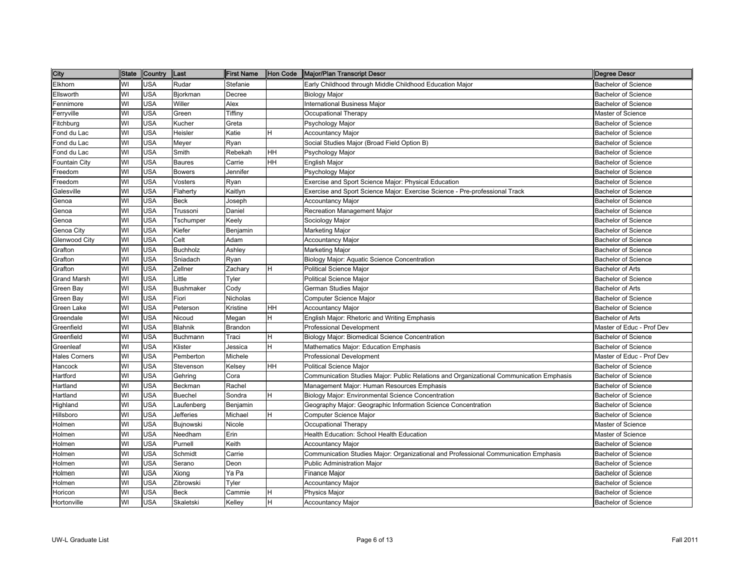| City                 | <b>State</b> | Country    | Last             | <b>First Name</b> | Hon Code | Major/Plan Transcript Descr                                                             | Degree Descr               |
|----------------------|--------------|------------|------------------|-------------------|----------|-----------------------------------------------------------------------------------------|----------------------------|
| Elkhorn              | WI           | <b>USA</b> | Rudar            | Stefanie          |          | Early Childhood through Middle Childhood Education Major                                | <b>Bachelor of Science</b> |
| Ellsworth            | WI           | <b>USA</b> | Bjorkman         | Decree            |          | <b>Biology Major</b>                                                                    | <b>Bachelor of Science</b> |
| Fennimore            | WI           | <b>USA</b> | Willer           | Alex              |          | International Business Major                                                            | <b>Bachelor of Science</b> |
| Ferryville           | WI           | <b>USA</b> | Green            | Tiffiny           |          | Occupational Therapy                                                                    | Master of Science          |
| Fitchburg            | WI           | <b>USA</b> | Kucher           | Greta             |          | Psychology Major                                                                        | <b>Bachelor of Science</b> |
| Fond du Lac          | WI           | <b>USA</b> | Heisler          | Katie             | H        | <b>Accountancy Major</b>                                                                | <b>Bachelor of Science</b> |
| Fond du Lac          | WI           | <b>USA</b> | Meyer            | Ryan              |          | Social Studies Major (Broad Field Option B)                                             | <b>Bachelor of Science</b> |
| Fond du Lac          | WI           | USA        | Smith            | Rebekah           | HН       | Psychology Major                                                                        | <b>Bachelor of Science</b> |
| Fountain City        | WI           | <b>USA</b> | <b>Baures</b>    | Carrie            | HH       | English Major                                                                           | <b>Bachelor of Science</b> |
| Freedom              | WI           | <b>USA</b> | <b>Bowers</b>    | Jennifer          |          | Psychology Major                                                                        | <b>Bachelor of Science</b> |
| Freedom              | WI           | <b>USA</b> | Vosters          | Ryan              |          | Exercise and Sport Science Major: Physical Education                                    | <b>Bachelor of Science</b> |
| Galesville           | WI           | <b>USA</b> | Flaherty         | Kaitlyn           |          | Exercise and Sport Science Major: Exercise Science - Pre-professional Track             | <b>Bachelor of Science</b> |
| Genoa                | WI           | <b>USA</b> | <b>Beck</b>      | Joseph            |          | <b>Accountancy Major</b>                                                                | <b>Bachelor of Science</b> |
| Genoa                | WI           | <b>USA</b> | Trussoni         | Daniel            |          | Recreation Management Major                                                             | <b>Bachelor of Science</b> |
| Genoa                | WI           | <b>USA</b> | Tschumper        | Keely             |          | Sociology Major                                                                         | <b>Bachelor of Science</b> |
| Genoa City           | WI           | <b>USA</b> | Kiefer           | Benjamin          |          | Marketing Major                                                                         | <b>Bachelor of Science</b> |
| Glenwood City        | WI           | <b>USA</b> | Celt             | Adam              |          | <b>Accountancy Major</b>                                                                | <b>Bachelor of Science</b> |
| Grafton              | WI           | <b>USA</b> | <b>Buchholz</b>  | Ashley            |          | Marketing Major                                                                         | <b>Bachelor of Science</b> |
| Grafton              | WI           | <b>USA</b> | Sniadach         | Ryan              |          | Biology Major: Aquatic Science Concentration                                            | <b>Bachelor of Science</b> |
| Grafton              | WI           | <b>USA</b> | Zellner          | Zachary           | н        | <b>Political Science Major</b>                                                          | <b>Bachelor of Arts</b>    |
| <b>Grand Marsh</b>   | WI           | USA        | _ittle           | Tyler             |          | <b>Political Science Major</b>                                                          | <b>Bachelor of Science</b> |
| Green Bay            | WI           | <b>USA</b> | <b>Bushmaker</b> | Cody              |          | German Studies Major                                                                    | <b>Bachelor of Arts</b>    |
| Green Bay            | WI           | <b>USA</b> | Fiori            | Nicholas          |          | Computer Science Major                                                                  | <b>Bachelor of Science</b> |
| Green Lake           | WI           | <b>USA</b> | Peterson         | Kristine          | HH       | <b>Accountancy Major</b>                                                                | <b>Bachelor of Science</b> |
| Greendale            | WI           | <b>USA</b> | Nicoud           | Megan             | H        | English Major: Rhetoric and Writing Emphasis                                            | <b>Bachelor of Arts</b>    |
| Greenfield           | WI           | <b>USA</b> | Blahnik          | Brandon           |          | <b>Professional Development</b>                                                         | Master of Educ - Prof Dev  |
| Greenfield           | WI           | <b>USA</b> | Buchmann         | Traci             | H        | Biology Major: Biomedical Science Concentration                                         | <b>Bachelor of Science</b> |
| Greenleaf            | WI           | <b>USA</b> | Klister          | Jessica           | н        | Mathematics Major: Education Emphasis                                                   | <b>Bachelor of Science</b> |
| <b>Hales Corners</b> | WI           | <b>USA</b> | Pemberton        | Michele           |          | <b>Professional Development</b>                                                         | Master of Educ - Prof Dev  |
| Hancock              | WI           | <b>USA</b> | Stevenson        | Kelsey            | HH       | <b>Political Science Major</b>                                                          | <b>Bachelor of Science</b> |
| Hartford             | WI           | <b>USA</b> | Gehring          | Cora              |          | Communication Studies Major: Public Relations and Organizational Communication Emphasis | <b>Bachelor of Science</b> |
| Hartland             | WI           | <b>USA</b> | Beckman          | Rachel            |          | Management Major: Human Resources Emphasis                                              | <b>Bachelor of Science</b> |
| Hartland             | WI           | <b>USA</b> | <b>Buechel</b>   | Sondra            | H        | Biology Major: Environmental Science Concentration                                      | <b>Bachelor of Science</b> |
| Highland             | WI           | <b>USA</b> | Laufenberg       | Benjamin          |          | Geography Major: Geographic Information Science Concentration                           | <b>Bachelor of Science</b> |
| Hillsboro            | WI           | <b>USA</b> | Jefferies        | Michael           | H        | Computer Science Major                                                                  | <b>Bachelor of Science</b> |
| Holmen               | WI           | <b>USA</b> | Bujnowski        | Nicole            |          | Occupational Therapy                                                                    | Master of Science          |
| Holmen               | WI           | <b>USA</b> | Needham          | Erin              |          | Health Education: School Health Education                                               | Master of Science          |
| Holmen               | WI           | <b>USA</b> | Purnell          | Keith             |          | Accountancy Major                                                                       | Bachelor of Science        |
| Holmen               | WI           | <b>USA</b> | Schmidt          | Carrie            |          | Communication Studies Major: Organizational and Professional Communication Emphasis     | <b>Bachelor of Science</b> |
| Holmen               | WI           | <b>USA</b> | Serano           | Deon              |          | <b>Public Administration Major</b>                                                      | <b>Bachelor of Science</b> |
| Holmen               | WI           | <b>USA</b> | Xiong            | Ya Pa             |          | Finance Major                                                                           | <b>Bachelor of Science</b> |
| Holmen               | WI           | <b>USA</b> | Zibrowski        | Tyler             |          | <b>Accountancy Major</b>                                                                | <b>Bachelor of Science</b> |
| Horicon              | WI           | <b>USA</b> | <b>Beck</b>      | Cammie            | н        | Physics Major                                                                           | <b>Bachelor of Science</b> |
| Hortonville          | WI           | <b>USA</b> | Skaletski        | Kelley            | н        | <b>Accountancy Major</b>                                                                | <b>Bachelor of Science</b> |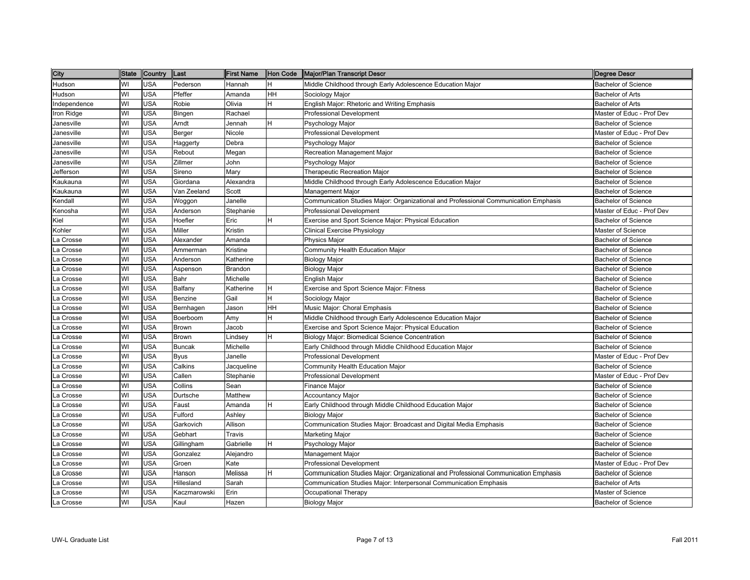| City         | <b>State</b> | <b>Country</b> | Last          | <b>First Name</b> | Hon Code  | Major/Plan Transcript Descr                                                         | <b>Degree Descr</b>        |
|--------------|--------------|----------------|---------------|-------------------|-----------|-------------------------------------------------------------------------------------|----------------------------|
| Hudson       | WI           | <b>USA</b>     | Pederson      | Hannah            | H.        | Middle Childhood through Early Adolescence Education Major                          | <b>Bachelor of Science</b> |
| Hudson       | WI           | <b>USA</b>     | Pfeffer       | Amanda            | <b>HH</b> | Sociology Major                                                                     | <b>Bachelor of Arts</b>    |
| Independence | WI           | <b>USA</b>     | Robie         | Olivia            | H         | English Major: Rhetoric and Writing Emphasis                                        | <b>Bachelor of Arts</b>    |
| Iron Ridge   | WI           | <b>USA</b>     | Bingen        | Rachael           |           | Professional Development                                                            | Master of Educ - Prof Dev  |
| Janesville   | WI           | <b>USA</b>     | Arndt         | Jennah            | lH.       | Psychology Major                                                                    | <b>Bachelor of Science</b> |
| Janesville   | WI           | <b>USA</b>     | Berger        | Nicole            |           | Professional Development                                                            | Master of Educ - Prof Dev  |
| Janesville   | WI           | <b>USA</b>     | Haggerty      | Debra             |           | Psychology Major                                                                    | <b>Bachelor of Science</b> |
| Janesville   | WI           | USA            | Rebout        | Megan             |           | Recreation Management Major                                                         | <b>Bachelor of Science</b> |
| Janesville   | WI           | <b>USA</b>     | Zillmer       | John              |           | Psychology Major                                                                    | <b>Bachelor of Science</b> |
| Jefferson    | WI           | <b>USA</b>     | Sireno        | Mary              |           | <b>Therapeutic Recreation Major</b>                                                 | <b>Bachelor of Science</b> |
| Kaukauna     | WI           | <b>USA</b>     | Giordana      | Alexandra         |           | Middle Childhood through Early Adolescence Education Major                          | <b>Bachelor of Science</b> |
| Kaukauna     | WI           | <b>USA</b>     | Van Zeeland   | Scott             |           | Management Major                                                                    | <b>Bachelor of Science</b> |
| Kendall      | WI           | <b>USA</b>     | Woggon        | Janelle           |           | Communication Studies Major: Organizational and Professional Communication Emphasis | <b>Bachelor of Science</b> |
| Kenosha      | WI           | USA            | Anderson      | Stephanie         |           | Professional Development                                                            | Master of Educ - Prof Dev  |
| Kiel         | WI           | <b>USA</b>     | Hoefler       | Eric              |           | Exercise and Sport Science Major: Physical Education                                | <b>Bachelor of Science</b> |
| Kohler       | WI           | <b>USA</b>     | Miller        | Kristin           |           | Clinical Exercise Physiology                                                        | Master of Science          |
| La Crosse    | WI           | <b>USA</b>     | Alexander     | Amanda            |           | Physics Major                                                                       | <b>Bachelor of Science</b> |
| La Crosse    | WI           | <b>USA</b>     | Ammerman      | Kristine          |           | Community Health Education Major                                                    | <b>Bachelor of Science</b> |
| La Crosse    | WI           | USA            | Anderson      | Katherine         |           | <b>Biology Major</b>                                                                | <b>Bachelor of Science</b> |
| La Crosse    | WI           | <b>USA</b>     | Aspenson      | Brandon           |           | <b>Biology Major</b>                                                                | <b>Bachelor of Science</b> |
| La Crosse    | WI           | <b>USA</b>     | Bahr          | Michelle          |           | English Major                                                                       | <b>Bachelor of Science</b> |
| La Crosse    | WI           | <b>USA</b>     | Balfany       | Katherine         | lH.       | Exercise and Sport Science Major: Fitness                                           | <b>Bachelor of Science</b> |
| La Crosse    | WI           | <b>USA</b>     | Benzine       | Gail              | lH.       | Sociology Major                                                                     | <b>Bachelor of Science</b> |
| La Crosse    | WI           | <b>USA</b>     | Bernhagen     | Jason             | <b>HH</b> | Music Major: Choral Emphasis                                                        | <b>Bachelor of Science</b> |
| La Crosse    | WI           | <b>USA</b>     | Boerboom      | Amy               | H         | Middle Childhood through Early Adolescence Education Major                          | <b>Bachelor of Science</b> |
| La Crosse    | WI           | <b>USA</b>     | Brown         | Jacob             |           | Exercise and Sport Science Major: Physical Education                                | <b>Bachelor of Science</b> |
| La Crosse    | WI           | <b>USA</b>     | Brown         | indsey            | H         | Biology Major: Biomedical Science Concentration                                     | <b>Bachelor of Science</b> |
| La Crosse    | WI           | USA            | <b>Buncak</b> | Michelle          |           | Early Childhood through Middle Childhood Education Major                            | <b>Bachelor of Science</b> |
| La Crosse    | WI           | USA            | Byus          | Janelle           |           | <b>Professional Development</b>                                                     | Master of Educ - Prof Dev  |
| La Crosse    | WI           | USA            | Calkins       | Jacqueline        |           | Community Health Education Major                                                    | <b>Bachelor of Science</b> |
| La Crosse    | WI           | <b>USA</b>     | Callen        | Stephanie         |           | <b>Professional Development</b>                                                     | Master of Educ - Prof Dev  |
| La Crosse    | WI           | <b>USA</b>     | Collins       | Sean              |           | Finance Major                                                                       | <b>Bachelor of Science</b> |
| La Crosse    | WI           | <b>USA</b>     | Durtsche      | Matthew           |           | <b>Accountancy Major</b>                                                            | <b>Bachelor of Science</b> |
| La Crosse    | WI           | <b>USA</b>     | Faust         | Amanda            | H         | Early Childhood through Middle Childhood Education Major                            | <b>Bachelor of Science</b> |
| La Crosse    | WI           | <b>USA</b>     | Fulford       | Ashley            |           | Biology Major                                                                       | <b>Bachelor of Science</b> |
| La Crosse    | WI           | <b>USA</b>     | Garkovich     | Allison           |           | Communication Studies Major: Broadcast and Digital Media Emphasis                   | <b>Bachelor of Science</b> |
| La Crosse    | WI           | USA            | Gebhart       | Travis            |           | Marketing Major                                                                     | <b>Bachelor of Science</b> |
| La Crosse    | WI           | <b>USA</b>     | Gillingham    | Gabrielle         | lH.       | Psychology Major                                                                    | <b>Bachelor of Science</b> |
| La Crosse    | WI           | USA            | Gonzalez      | Alejandro         |           | Management Major                                                                    | Bachelor of Science        |
| La Crosse    | WI           | USA            | Groen         | Kate              |           | <b>Professional Development</b>                                                     | Master of Educ - Prof Dev  |
| La Crosse    | WI           | <b>USA</b>     | Hanson        | Melissa           |           | Communication Studies Major: Organizational and Professional Communication Emphasis | <b>Bachelor of Science</b> |
| La Crosse    | WI           | <b>USA</b>     | Hillesland    | Sarah             |           | Communication Studies Major: Interpersonal Communication Emphasis                   | <b>Bachelor of Arts</b>    |
| La Crosse    | WI           | <b>USA</b>     | Kaczmarowski  | Erin              |           | Occupational Therapy                                                                | <b>Master of Science</b>   |
| La Crosse    | WI           | <b>USA</b>     | Kaul          | Hazen             |           | <b>Biology Major</b>                                                                | <b>Bachelor of Science</b> |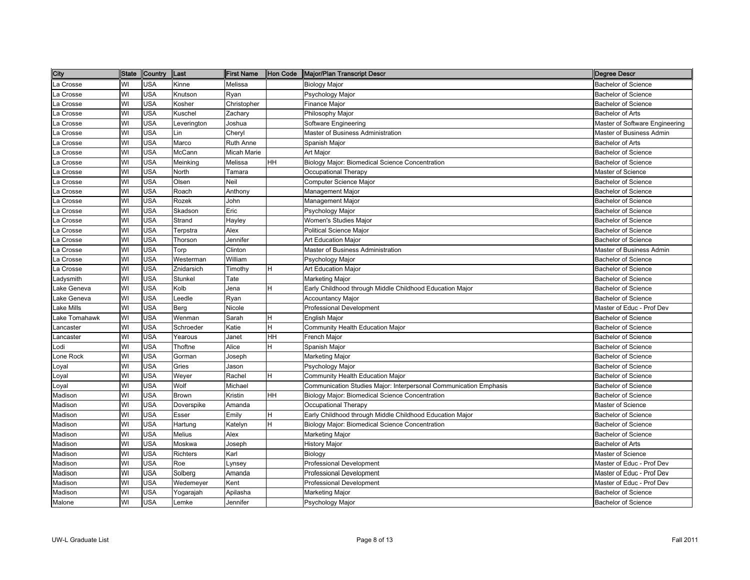| City          | <b>State</b> | Country    | Last        | <b>First Name</b> | Hon Code  | Major/Plan Transcript Descr                                       | Degree Descr                    |
|---------------|--------------|------------|-------------|-------------------|-----------|-------------------------------------------------------------------|---------------------------------|
| La Crosse     | WI           | <b>USA</b> | Kinne       | Melissa           |           | Biology Major                                                     | <b>Bachelor of Science</b>      |
| La Crosse     | WI           | <b>USA</b> | Knutson     | Ryan              |           | Psychology Major                                                  | <b>Bachelor of Science</b>      |
| La Crosse     | WI           | <b>USA</b> | Kosher      | Christopher       |           | Finance Major                                                     | <b>Bachelor of Science</b>      |
| La Crosse     | WI           | <b>USA</b> | Kuschel     | Zachary           |           | Philosophy Major                                                  | Bachelor of Arts                |
| La Crosse     | WI           | <b>USA</b> | Leverington | Joshua            |           | Software Engineering                                              | Master of Software Engineering  |
| La Crosse     | WI           | <b>USA</b> | .in         | Cheryl            |           | Master of Business Administration                                 | Master of Business Admin        |
| La Crosse     | WI           | <b>USA</b> | Marco       | Ruth Anne         |           | Spanish Major                                                     | <b>Bachelor of Arts</b>         |
| La Crosse     | WI           | USA        | McCann      | Micah Marie       |           | Art Major                                                         | <b>Bachelor of Science</b>      |
| La Crosse     | WI           | <b>USA</b> | Meinking    | Melissa           | HH        | Biology Major: Biomedical Science Concentration                   | <b>Bachelor of Science</b>      |
| La Crosse     | WI           | <b>USA</b> | North       | Tamara            |           | Occupational Therapy                                              | Master of Science               |
| La Crosse     | WI           | <b>USA</b> | Olsen       | Neil              |           | Computer Science Major                                            | <b>Bachelor of Science</b>      |
| La Crosse     | WI           | <b>USA</b> | Roach       | Anthony           |           | Management Major                                                  | <b>Bachelor of Science</b>      |
| La Crosse     | WI           | <b>USA</b> | Rozek       | John              |           | Management Major                                                  | <b>Bachelor of Science</b>      |
| La Crosse     | WI           | <b>USA</b> | Skadson     | Eric              |           | Psychology Major                                                  | <b>Bachelor of Science</b>      |
| La Crosse     | WI           | <b>USA</b> | Strand      | Hayley            |           | Women's Studies Major                                             | <b>Bachelor of Science</b>      |
| La Crosse     | WI           | <b>USA</b> | Terpstra    | Alex              |           | Political Science Major                                           | <b>Bachelor of Science</b>      |
| La Crosse     | WI           | <b>USA</b> | Thorson     | Jennifer          |           | Art Education Major                                               | <b>Bachelor of Science</b>      |
| a Crosse      | WI           | <b>USA</b> | Torp        | Clinton           |           | Master of Business Administration                                 | <b>Master of Business Admin</b> |
| a Crosse      | WI           | USA        | Westerman   | William           |           | Psychology Major                                                  | <b>Bachelor of Science</b>      |
| a Crosse      | WI           | <b>USA</b> | Znidarsich  | Timothy           | H         | Art Education Major                                               | Bachelor of Science             |
| .adysmith     | WI           | <b>USA</b> | Stunkel     | Tate              |           | Marketing Major                                                   | <b>Bachelor of Science</b>      |
| Lake Geneva   | WI           | <b>USA</b> | Kolb        | Jena              | H         | Early Childhood through Middle Childhood Education Major          | Bachelor of Science             |
| Lake Geneva   | WI           | <b>USA</b> | eedle.      | Ryan              |           | <b>Accountancy Major</b>                                          | <b>Bachelor of Science</b>      |
| ake Mills     | WI           | <b>USA</b> | Berg        | Nicole            |           | Professional Development                                          | Master of Educ - Prof Dev       |
| Lake Tomahawk | WI           | <b>USA</b> | Wenman      | Sarah             | H         | English Major                                                     | <b>Bachelor of Science</b>      |
| _ancaster     | WI           | <b>USA</b> | Schroeder   | Katie             | lн.       | Community Health Education Major                                  | <b>Bachelor of Science</b>      |
| Lancaster     | WI           | <b>USA</b> | Yearous     | Janet             | HH        | French Major                                                      | <b>Bachelor of Science</b>      |
| Lodi          | WI           | <b>USA</b> | Thoftne     | Alice             | H         | Spanish Major                                                     | <b>Bachelor of Science</b>      |
| Lone Rock     | WI           | <b>USA</b> | Gorman      | Joseph            |           | Marketing Major                                                   | <b>Bachelor of Science</b>      |
| Loyal         | WI           | <b>USA</b> | Gries       | Jason             |           | Psychology Major                                                  | <b>Bachelor of Science</b>      |
| Loyal         | WI           | <b>USA</b> | Wever       | Rachel            | H         | Community Health Education Major                                  | <b>Bachelor of Science</b>      |
| Loyal         | WI           | <b>USA</b> | Wolf        | Michael           |           | Communication Studies Major: Interpersonal Communication Emphasis | <b>Bachelor of Science</b>      |
| Madison       | WI           | <b>USA</b> | Brown       | Kristin           | <b>HH</b> | Biology Major: Biomedical Science Concentration                   | <b>Bachelor of Science</b>      |
| Madison       | WI           | <b>USA</b> | Doverspike  | Amanda            |           | Occupational Therapy                                              | Master of Science               |
| Madison       | WI           | <b>USA</b> | Esser       | Emily             | H         | Early Childhood through Middle Childhood Education Major          | <b>Bachelor of Science</b>      |
| Madison       | WI           | <b>USA</b> | Hartung     | Katelyn           | lн.       | Biology Major: Biomedical Science Concentration                   | <b>Bachelor of Science</b>      |
| Madison       | WI           | USA        | Melius      | Alex              |           | Marketing Major                                                   | <b>Bachelor of Science</b>      |
| Madison       | WI           | <b>USA</b> | Moskwa      | Joseph            |           | History Major                                                     | <b>Bachelor of Arts</b>         |
| Madison       | WI           | <b>USA</b> | Richters    | Karl              |           | Biology                                                           | Master of Science               |
| Madison       | WI           | USA        | Roe         | _ynsey            |           | Professional Development                                          | Master of Educ - Prof Dev       |
| Madison       | WI           | <b>USA</b> | Solberg     | Amanda            |           | <b>Professional Development</b>                                   | Master of Educ - Prof Dev       |
| Madison       | WI           | <b>USA</b> | Wedemeyer   | Kent              |           | <b>Professional Development</b>                                   | Master of Educ - Prof Dev       |
| Madison       | WI           | <b>USA</b> | Yogarajah   | Apilasha          |           | Marketing Major                                                   | <b>Bachelor of Science</b>      |
| Malone        | WI           | <b>USA</b> | Lemke       | Jennifer          |           | Psychology Major                                                  | <b>Bachelor of Science</b>      |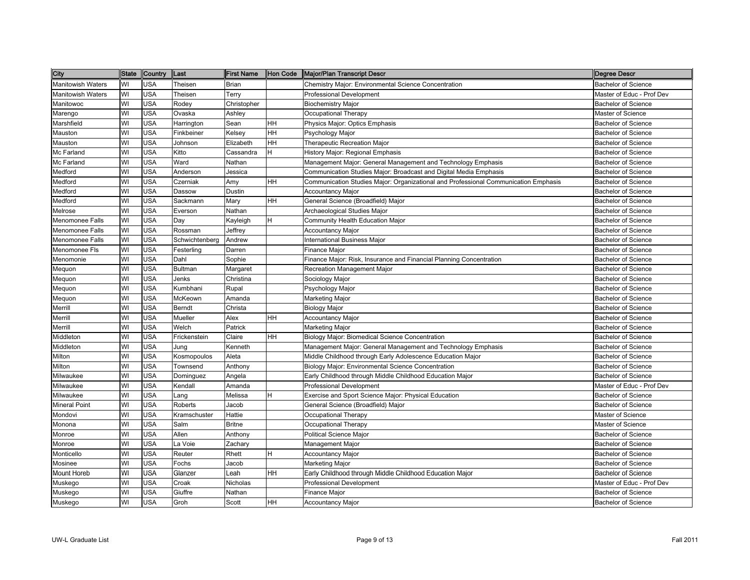| City                     | <b>State</b> | Country    | Last           | <b>First Name</b> | Hon Code | Major/Plan Transcript Descr                                                         | <b>Degree Descr</b>        |
|--------------------------|--------------|------------|----------------|-------------------|----------|-------------------------------------------------------------------------------------|----------------------------|
| <b>Manitowish Waters</b> | WI           | USA        | Theisen        | <b>Brian</b>      |          | Chemistry Major: Environmental Science Concentration                                | <b>Bachelor of Science</b> |
| <b>Manitowish Waters</b> | WI           | USA        | Theisen        | Terry             |          | <b>Professional Development</b>                                                     | Master of Educ - Prof Dev  |
| Manitowoc                | WI           | <b>USA</b> | Rodey          | Christopher       |          | <b>Biochemistry Major</b>                                                           | <b>Bachelor of Science</b> |
| Marengo                  | WI           | <b>USA</b> | Ovaska         | Ashley            |          | Occupational Therapy                                                                | Master of Science          |
| Marshfield               | WI           | USA        | Harrington     | Sean              | HН       | Physics Major: Optics Emphasis                                                      | <b>Bachelor of Science</b> |
| Mauston                  | WI           | <b>USA</b> | Finkbeiner     | Kelsey            | HН       | Psychology Major                                                                    | <b>Bachelor of Science</b> |
| Mauston                  | WI           | <b>USA</b> | Johnson        | Elizabeth         | HH       | Therapeutic Recreation Major                                                        | <b>Bachelor of Science</b> |
| Mc Farland               | WI           | <b>USA</b> | Kitto          | Cassandra         | H        | History Major: Regional Emphasis                                                    | <b>Bachelor of Science</b> |
| Mc Farland               | WI           | <b>USA</b> | Ward           | Nathan            |          | Management Major: General Management and Technology Emphasis                        | <b>Bachelor of Science</b> |
| Medford                  | WI           | <b>USA</b> | Anderson       | Jessica           |          | Communication Studies Major: Broadcast and Digital Media Emphasis                   | <b>Bachelor of Science</b> |
| Medford                  | WI           | USA        | Czerniak       | Amy               | HН       | Communication Studies Major: Organizational and Professional Communication Emphasis | <b>Bachelor of Science</b> |
| Medford                  | WI           | <b>USA</b> | Dassow         | Dustin            |          | <b>Accountancy Major</b>                                                            | <b>Bachelor of Science</b> |
| Medford                  | WI           | <b>USA</b> | Sackmann       | Mary              | HН       | General Science (Broadfield) Major                                                  | <b>Bachelor of Science</b> |
| Melrose                  | WI           | <b>USA</b> | Everson        | Nathan            |          | Archaeological Studies Major                                                        | <b>Bachelor of Science</b> |
| Menomonee Falls          | WI           | USA        | Day            | Kayleigh          | Н        | Community Health Education Major                                                    | <b>Bachelor of Science</b> |
| Menomonee Falls          | WI           | <b>USA</b> | Rossman        | Jeffrey           |          | <b>Accountancy Major</b>                                                            | <b>Bachelor of Science</b> |
| Menomonee Falls          | WI           | USA        | Schwichtenberg | Andrew            |          | <b>International Business Major</b>                                                 | <b>Bachelor of Science</b> |
| Menomonee Fls            | WI           | USA        | Festerling     | Darren            |          | <b>Finance Major</b>                                                                | <b>Bachelor of Science</b> |
| Menomonie                | WI           | <b>USA</b> | Dahl           | Sophie            |          | Finance Major: Risk, Insurance and Financial Planning Concentration                 | <b>Bachelor of Science</b> |
| Mequon                   | WI           | USA        | <b>Bultman</b> | Margaret          |          | Recreation Management Major                                                         | <b>Bachelor of Science</b> |
| Mequon                   | WI           | USA        | Jenks          | Christina         |          | Sociology Major                                                                     | <b>Bachelor of Science</b> |
| Mequon                   | WI           | USA        | Kumbhani       | Rupal             |          | Psychology Major                                                                    | <b>Bachelor of Science</b> |
| Mequon                   | WI           | USA        | McKeown        | Amanda            |          | <b>Marketing Major</b>                                                              | <b>Bachelor of Science</b> |
| Merrill                  | WI           | USA        | Berndt         | Christa           |          | <b>Biology Major</b>                                                                | <b>Bachelor of Science</b> |
| Merrill                  | WI           | USA        | Mueller        | Alex              | HН       | <b>Accountancy Major</b>                                                            | <b>Bachelor of Science</b> |
| Merrill                  | WI           | <b>USA</b> | Welch          | Patrick           |          | <b>Marketing Major</b>                                                              | <b>Bachelor of Science</b> |
| Middleton                | WI           | <b>USA</b> | Frickenstein   | Claire            | HН       | Biology Major: Biomedical Science Concentration                                     | <b>Bachelor of Science</b> |
| Middleton                | W١           | <b>USA</b> | Jung           | Kenneth           |          | Management Major: General Management and Technology Emphasis                        | <b>Bachelor of Science</b> |
| Milton                   | WI           | <b>USA</b> | Kosmopoulos    | Aleta             |          | Middle Childhood through Early Adolescence Education Major                          | <b>Bachelor of Science</b> |
| Milton                   | WI           | <b>USA</b> | Townsend       | Anthony           |          | Biology Major: Environmental Science Concentration                                  | <b>Bachelor of Science</b> |
| Milwaukee                | WI           | USA        | Dominguez      | Angela            |          | Early Childhood through Middle Childhood Education Major                            | <b>Bachelor of Science</b> |
| Milwaukee                | WI           | <b>USA</b> | Kendall        | Amanda            |          | Professional Development                                                            | Master of Educ - Prof Dev  |
| Milwaukee                | WI           | <b>USA</b> | ang            | Melissa           |          | Exercise and Sport Science Major: Physical Education                                | <b>Bachelor of Science</b> |
| <b>Mineral Point</b>     | WI           | USA        | Roberts        | Jacob             |          | General Science (Broadfield) Major                                                  | <b>Bachelor of Science</b> |
| Mondovi                  | WI           | <b>USA</b> | Kramschuster   | Hattie            |          | Occupational Therapy                                                                | <b>Master of Science</b>   |
| Monona                   | WI           | <b>USA</b> | Salm           | <b>Britne</b>     |          | Occupational Therapy                                                                | Master of Science          |
| Monroe                   | WI           | USA        | Allen          | Anthony           |          | <b>Political Science Major</b>                                                      | <b>Bachelor of Science</b> |
| Monroe                   | WI           | USA        | La Voie        | Zachary           |          | Management Major                                                                    | <b>Bachelor of Science</b> |
| Monticello               | WI           | <b>USA</b> | Reuter         | Rhett             | H.       | <b>Accountancy Major</b>                                                            | <b>Bachelor of Science</b> |
| Mosinee                  | WI           | USA        | Fochs          | Jacob             |          | <b>Marketing Major</b>                                                              | <b>Bachelor of Science</b> |
| Mount Horeb              | WI           | USA        | Glanzer        | Leah              | HН       | Early Childhood through Middle Childhood Education Major                            | <b>Bachelor of Science</b> |
| Muskego                  | WI           | <b>USA</b> | Croak          | <b>Nicholas</b>   |          | <b>Professional Development</b>                                                     | Master of Educ - Prof Dev  |
| Muskego                  | WI           | USA        | Giuffre        | Nathan            |          | <b>Finance Major</b>                                                                | <b>Bachelor of Science</b> |
| Muskego                  | WI           | <b>USA</b> | Groh           | Scott             | HН       | <b>Accountancy Major</b>                                                            | <b>Bachelor of Science</b> |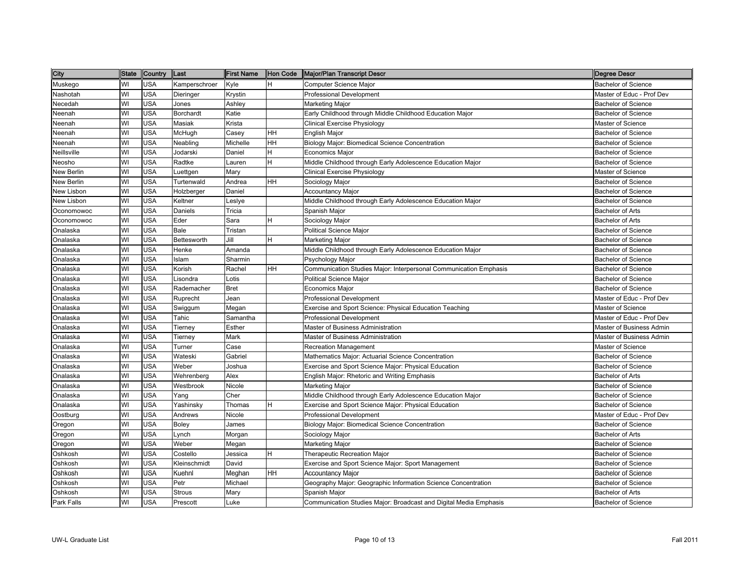| City        | <b>State</b> | Country    | Last                                                                                                                             | <b>First Name</b> | Hon Code  | Major/Plan Transcript Descr                                       | Degree Descr               |
|-------------|--------------|------------|----------------------------------------------------------------------------------------------------------------------------------|-------------------|-----------|-------------------------------------------------------------------|----------------------------|
| Muskego     | WI           | <b>USA</b> | <amperschroer< td=""><td>Kyle</td><td>lH.</td><td>Computer Science Major</td><td><b>Bachelor of Science</b></td></amperschroer<> | Kyle              | lH.       | Computer Science Major                                            | <b>Bachelor of Science</b> |
| Nashotah    | WI           | USA        | Dieringer                                                                                                                        | Krystin           |           | <b>Professional Development</b>                                   | Master of Educ - Prof Dev  |
| Necedah     | WI           | <b>USA</b> | Jones                                                                                                                            | Ashley            |           | Marketing Major                                                   | <b>Bachelor of Science</b> |
| Neenah      | WI           | <b>USA</b> | <b>Borchardt</b>                                                                                                                 | Katie             |           | Early Childhood through Middle Childhood Education Major          | <b>Bachelor of Science</b> |
| Neenah      | WI           | <b>USA</b> | Masiak                                                                                                                           | Krista            |           | Clinical Exercise Physiology                                      | Master of Science          |
| Neenah      | WI           | <b>USA</b> | McHugh                                                                                                                           | Casey             | HH        | English Major                                                     | <b>Bachelor of Science</b> |
| Neenah      | WI           | USA        | Neabling                                                                                                                         | Michelle          | <b>HH</b> | Biology Major: Biomedical Science Concentration                   | <b>Bachelor of Science</b> |
| Neillsville | WI           | <b>USA</b> | Jodarski                                                                                                                         | Daniel            | H         | Economics Maior                                                   | <b>Bachelor of Science</b> |
| Neosho      | WI           | <b>USA</b> | Radtke                                                                                                                           | Lauren            | ΙH.       | Middle Childhood through Early Adolescence Education Major        | <b>Bachelor of Science</b> |
| New Berlin  | WI           | <b>USA</b> | Luettgen                                                                                                                         | Mary              |           | Clinical Exercise Physiology                                      | Master of Science          |
| New Berlin  | WI           | <b>USA</b> | Turtenwald                                                                                                                       | Andrea            | HH        | Sociology Major                                                   | <b>Bachelor of Science</b> |
| New Lisbon  | WI           | <b>USA</b> | Holzberger                                                                                                                       | Daniel            |           | Accountancy Major                                                 | <b>Bachelor of Science</b> |
| New Lisbon  | WI           | <b>USA</b> | Keltner                                                                                                                          | Leslye            |           | Middle Childhood through Early Adolescence Education Major        | <b>Bachelor of Science</b> |
| Oconomowoc  | WI           | <b>USA</b> | Daniels                                                                                                                          | Tricia            |           | Spanish Major                                                     | <b>Bachelor of Arts</b>    |
| Oconomowoc  | WI           | <b>USA</b> | Eder                                                                                                                             | Sara              | H         | Sociology Major                                                   | <b>Bachelor of Arts</b>    |
| Onalaska    | WI           | <b>USA</b> | Bale                                                                                                                             | Tristan           |           | Political Science Major                                           | <b>Bachelor of Science</b> |
| Onalaska    | WI           | <b>USA</b> | Bettesworth                                                                                                                      | Jill              | H         | Marketing Major                                                   | <b>Bachelor of Science</b> |
| Onalaska    | WI           | <b>USA</b> | Henke                                                                                                                            | Amanda            |           | Middle Childhood through Early Adolescence Education Major        | <b>Bachelor of Science</b> |
| Onalaska    | WI           | <b>USA</b> | Islam                                                                                                                            | Sharmin           |           | Psychology Major                                                  | <b>Bachelor of Science</b> |
| Onalaska    | WI           | <b>USA</b> | Korish                                                                                                                           | Rachel            | HH        | Communication Studies Major: Interpersonal Communication Emphasis | Bachelor of Science        |
| Onalaska    | WI           | <b>USA</b> | Lisondra                                                                                                                         | _otis             |           | <b>Political Science Major</b>                                    | <b>Bachelor of Science</b> |
| Onalaska    | WI           | <b>USA</b> | Rademacher                                                                                                                       | <b>Bret</b>       |           | Economics Major                                                   | <b>Bachelor of Science</b> |
| Onalaska    | WI           | USA        | Ruprecht                                                                                                                         | Jean              |           | <b>Professional Development</b>                                   | Master of Educ - Prof Dev  |
| Onalaska    | WI           | <b>USA</b> | Swiggum                                                                                                                          | Megan             |           | Exercise and Sport Science: Physical Education Teaching           | Master of Science          |
| Onalaska    | WI           | <b>USA</b> | Tahic                                                                                                                            | Samantha          |           | <b>Professional Development</b>                                   | Master of Educ - Prof Dev  |
| Onalaska    | WI           | <b>USA</b> | Tierney                                                                                                                          | Esther            |           | Master of Business Administration                                 | Master of Business Admin   |
| Onalaska    | WI           | <b>USA</b> | Tierney                                                                                                                          | Mark              |           | Master of Business Administration                                 | Master of Business Admin   |
| Onalaska    | WI           | <b>USA</b> | Turner                                                                                                                           | Case              |           | <b>Recreation Management</b>                                      | Master of Science          |
| Onalaska    | WI           | <b>USA</b> | Wateski                                                                                                                          | Gabriel           |           | Mathematics Major: Actuarial Science Concentration                | <b>Bachelor of Science</b> |
| Onalaska    | WI           | <b>USA</b> | Weber                                                                                                                            | Joshua            |           | Exercise and Sport Science Major: Physical Education              | <b>Bachelor of Science</b> |
| Onalaska    | WI           | <b>USA</b> | Wehrenberg                                                                                                                       | Alex              |           | English Major: Rhetoric and Writing Emphasis                      | <b>Bachelor of Arts</b>    |
| Onalaska    | WI           | <b>USA</b> | Westbrook                                                                                                                        | Nicole            |           | Marketing Major                                                   | <b>Bachelor of Science</b> |
| Onalaska    | WI           | USA        | Yang                                                                                                                             | Cher              |           | Middle Childhood through Early Adolescence Education Major        | <b>Bachelor of Science</b> |
| Onalaska    | WI           | <b>USA</b> | Yashinsky                                                                                                                        | Thomas            | H         | Exercise and Sport Science Major: Physical Education              | <b>Bachelor of Science</b> |
| Oostburg    | WI           | <b>USA</b> | Andrews                                                                                                                          | Nicole            |           | <b>Professional Development</b>                                   | Master of Educ - Prof Dev  |
| Oregon      | WI           | <b>USA</b> | Boley                                                                                                                            | James             |           | Biology Major: Biomedical Science Concentration                   | <b>Bachelor of Science</b> |
| Oregon      | WI           | <b>USA</b> | Lynch                                                                                                                            | Morgan            |           | Sociology Major                                                   | <b>Bachelor of Arts</b>    |
| Oregon      | WI           | <b>USA</b> | Weber                                                                                                                            | Megan             |           | Marketing Major                                                   | <b>Bachelor of Science</b> |
| Oshkosh     | WI           | <b>USA</b> | Costello                                                                                                                         | Jessica           | ΙH.       | Therapeutic Recreation Major                                      | <b>Bachelor of Science</b> |
| Oshkosh     | WI           | <b>USA</b> | Kleinschmidt                                                                                                                     | David             |           | Exercise and Sport Science Major: Sport Management                | <b>Bachelor of Science</b> |
| Oshkosh     | WI           | <b>USA</b> | Kuehnl                                                                                                                           | Meghan            | HH        | Accountancy Major                                                 | <b>Bachelor of Science</b> |
| Oshkosh     | WI           | <b>USA</b> | Petr                                                                                                                             | Michael           |           | Geography Major: Geographic Information Science Concentration     | <b>Bachelor of Science</b> |
| Oshkosh     | WI           | USA        | Strous                                                                                                                           | Mary              |           | Spanish Major                                                     | <b>Bachelor of Arts</b>    |
| Park Falls  | WI           | <b>USA</b> | Prescott                                                                                                                         | Luke              |           | Communication Studies Major: Broadcast and Digital Media Emphasis | <b>Bachelor of Science</b> |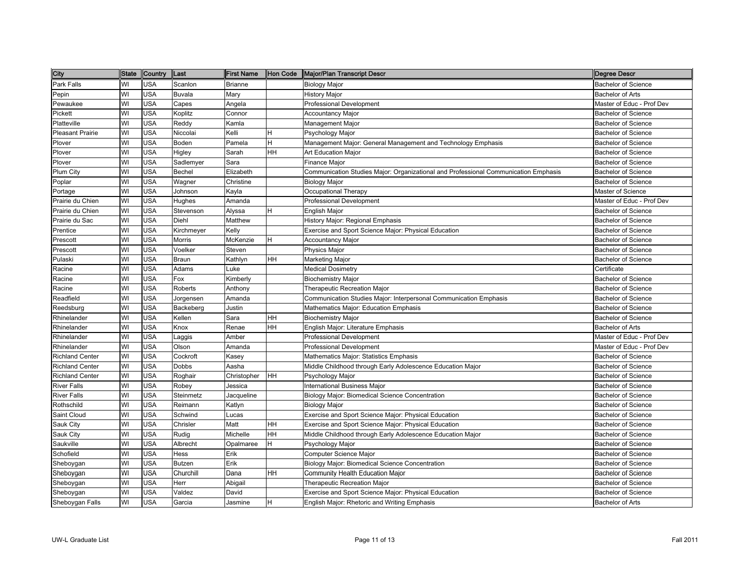| City                    | <b>State</b> | Country    | Last                                                                                                                  | <b>First Name</b> | Hon Code | Major/Plan Transcript Descr                                                         | Degree Descr               |
|-------------------------|--------------|------------|-----------------------------------------------------------------------------------------------------------------------|-------------------|----------|-------------------------------------------------------------------------------------|----------------------------|
| Park Falls              | WI           | <b>USA</b> | Scanlon                                                                                                               | <b>Brianne</b>    |          | <b>Biology Major</b>                                                                | <b>Bachelor of Science</b> |
| Pepin                   | WI           | <b>USA</b> | Buvala                                                                                                                | Mary              |          | <b>History Major</b>                                                                | Bachelor of Arts           |
| Pewaukee                | WI           | <b>USA</b> | Capes                                                                                                                 | Angela            |          | Professional Development                                                            | Master of Educ - Prof Dev  |
| Pickett                 | WI           | <b>USA</b> | <oplitz< td=""><td>Connor</td><td></td><td><b>Accountancy Major</b></td><td><b>Bachelor of Science</b></td></oplitz<> | Connor            |          | <b>Accountancy Major</b>                                                            | <b>Bachelor of Science</b> |
| Platteville             | WI           | <b>USA</b> | Reddy                                                                                                                 | Kamla             |          | Management Major                                                                    | <b>Bachelor of Science</b> |
| <b>Pleasant Prairie</b> | WI           | <b>USA</b> | Niccolai                                                                                                              | Kelli             | H        | Psychology Major                                                                    | <b>Bachelor of Science</b> |
| Plover                  | WI           | <b>USA</b> | Boden                                                                                                                 | Pamela            | Η        | Management Major: General Management and Technology Emphasis                        | <b>Bachelor of Science</b> |
| Plover                  | WI           | <b>USA</b> | Higley                                                                                                                | Sarah             | HН       | <b>Art Education Major</b>                                                          | <b>Bachelor of Science</b> |
| Plover                  | WI           | <b>USA</b> | Sadlemyer                                                                                                             | Sara              |          | Finance Major                                                                       | <b>Bachelor of Science</b> |
| Plum City               | WI           | <b>USA</b> | Bechel                                                                                                                | Elizabeth         |          | Communication Studies Major: Organizational and Professional Communication Emphasis | <b>Bachelor of Science</b> |
| Poplar                  | WI           | <b>USA</b> | Wagner                                                                                                                | Christine         |          | <b>Biology Major</b>                                                                | <b>Bachelor of Science</b> |
| Portage                 | WI           | <b>USA</b> | Johnson                                                                                                               | Kayla             |          | Occupational Therapy                                                                | Master of Science          |
| Prairie du Chien        | WI           | <b>USA</b> | <b>Hughes</b>                                                                                                         | Amanda            |          | <b>Professional Development</b>                                                     | Master of Educ - Prof Dev  |
| Prairie du Chien        | W            | <b>USA</b> | Stevenson                                                                                                             | Alyssa            | н        | English Major                                                                       | <b>Bachelor of Science</b> |
| Prairie du Sac          | WI           | <b>USA</b> | Diehl                                                                                                                 | Matthew           |          | History Major: Regional Emphasis                                                    | <b>Bachelor of Science</b> |
| Prentice                | WI           | <b>USA</b> | Kirchmeyer                                                                                                            | Kelly             |          | Exercise and Sport Science Major: Physical Education                                | <b>Bachelor of Science</b> |
| Prescott                | WI           | <b>USA</b> | Morris                                                                                                                | McKenzie          | H        | <b>Accountancy Major</b>                                                            | <b>Bachelor of Science</b> |
| Prescott                | WI           | <b>USA</b> | Voelker                                                                                                               | Steven            |          | Physics Major                                                                       | <b>Bachelor of Science</b> |
| Pulaski                 | WI           | <b>USA</b> | Braun                                                                                                                 | Kathlyn           | HH       | Marketing Major                                                                     | <b>Bachelor of Science</b> |
| Racine                  | WI           | <b>USA</b> | Adams                                                                                                                 | ∟uke              |          | <b>Medical Dosimetry</b>                                                            | Certificate                |
| Racine                  | WI           | <b>USA</b> | =ox                                                                                                                   | Kimberly          |          | <b>Biochemistry Major</b>                                                           | <b>Bachelor of Science</b> |
| Racine                  | WI           | <b>USA</b> | Roberts                                                                                                               | Anthony           |          | Therapeutic Recreation Major                                                        | <b>Bachelor of Science</b> |
| Readfield               | WI           | <b>USA</b> | Jorgensen                                                                                                             | Amanda            |          | Communication Studies Major: Interpersonal Communication Emphasis                   | <b>Bachelor of Science</b> |
| Reedsburg               | WI           | <b>USA</b> | Backeberg                                                                                                             | Justin            |          | Mathematics Major: Education Emphasis                                               | <b>Bachelor of Science</b> |
| Rhinelander             | WI           | <b>USA</b> | Kellen                                                                                                                | Sara              | HH       | <b>Biochemistry Major</b>                                                           | <b>Bachelor of Science</b> |
| Rhinelander             | WI           | <b>USA</b> | Knox                                                                                                                  | Renae             | HH       | English Major: Literature Emphasis                                                  | <b>Bachelor of Arts</b>    |
| Rhinelander             | WI           | <b>USA</b> | _aggis                                                                                                                | Amber             |          | Professional Development                                                            | Master of Educ - Prof Dev  |
| Rhinelander             | WI           | <b>USA</b> | Olson                                                                                                                 | Amanda            |          | Professional Development                                                            | Master of Educ - Prof Dev  |
| <b>Richland Center</b>  | WI           | <b>USA</b> | Cockroft                                                                                                              | Kasey             |          | Mathematics Major: Statistics Emphasis                                              | <b>Bachelor of Science</b> |
| <b>Richland Center</b>  | WI           | <b>USA</b> | Dobbs                                                                                                                 | Aasha             |          | Middle Childhood through Early Adolescence Education Major                          | <b>Bachelor of Science</b> |
| <b>Richland Center</b>  | WI           | <b>USA</b> | Roghair                                                                                                               | Christopher       | HH       | Psychology Major                                                                    | <b>Bachelor of Science</b> |
| <b>River Falls</b>      | WI           | <b>USA</b> | Robey                                                                                                                 | Jessica           |          | <b>International Business Major</b>                                                 | <b>Bachelor of Science</b> |
| <b>River Falls</b>      | WI           | <b>USA</b> | Steinmetz                                                                                                             | Jacqueline        |          | Biology Major: Biomedical Science Concentration                                     | <b>Bachelor of Science</b> |
| Rothschild              | WI           | <b>USA</b> | Reimann                                                                                                               | Katlyn            |          | <b>Biology Major</b>                                                                | <b>Bachelor of Science</b> |
| Saint Cloud             | WI           | <b>USA</b> | Schwind                                                                                                               | Lucas             |          | Exercise and Sport Science Major: Physical Education                                | <b>Bachelor of Science</b> |
| Sauk City               | WI           | <b>USA</b> | Chrisler                                                                                                              | Matt              | HH       | Exercise and Sport Science Major: Physical Education                                | <b>Bachelor of Science</b> |
| Sauk City               | WI           | <b>USA</b> | Rudig                                                                                                                 | Michelle          | HH       | Middle Childhood through Early Adolescence Education Major                          | <b>Bachelor of Science</b> |
| Saukville               | WI           | <b>USA</b> | Albrecht                                                                                                              | Opalmaree         | Η        | Psychology Major                                                                    | <b>Bachelor of Science</b> |
| Schofield               | WI           | <b>USA</b> | Hess                                                                                                                  | Erik              |          | Computer Science Major                                                              | <b>Bachelor of Science</b> |
| Sheboygan               | WI           | <b>USA</b> | <b>Butzen</b>                                                                                                         | Erik              |          | <b>Biology Major: Biomedical Science Concentration</b>                              | <b>Bachelor of Science</b> |
| Sheboygan               | WI           | <b>USA</b> | Churchill                                                                                                             | Dana              | HH       | Community Health Education Major                                                    | <b>Bachelor of Science</b> |
| Sheboygan               | WI           | <b>USA</b> | Herr                                                                                                                  | Abigail           |          | Therapeutic Recreation Major                                                        | <b>Bachelor of Science</b> |
| Sheboygan               | WI           | <b>USA</b> | Valdez                                                                                                                | David             |          | Exercise and Sport Science Major: Physical Education                                | <b>Bachelor of Science</b> |
| Sheboygan Falls         | WI           | <b>USA</b> | Garcia                                                                                                                | Jasmine           | H        | English Major: Rhetoric and Writing Emphasis                                        | <b>Bachelor of Arts</b>    |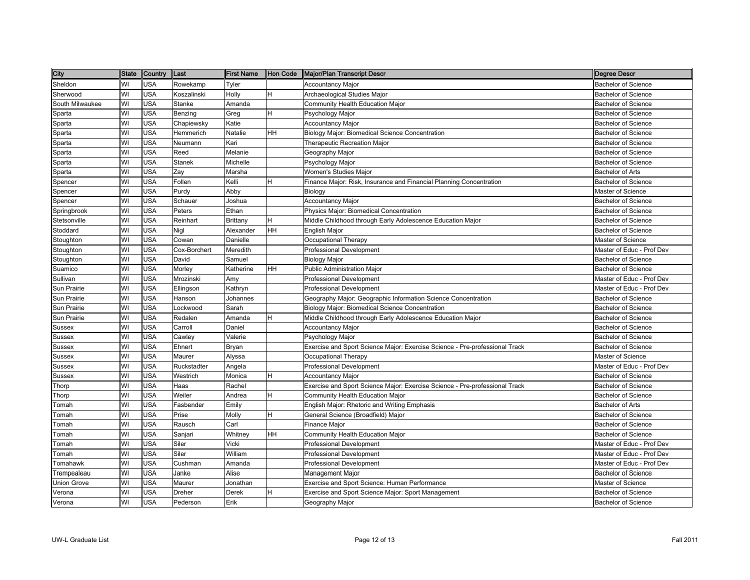| City            | <b>State</b> | <b>Country</b> | Last          | <b>First Name</b> | Hon Code | Major/Plan Transcript Descr                                                 | Degree Descr               |
|-----------------|--------------|----------------|---------------|-------------------|----------|-----------------------------------------------------------------------------|----------------------------|
| Sheldon         | WI           | <b>USA</b>     | Rowekamp      | Tyler             |          | <b>Accountancy Major</b>                                                    | <b>Bachelor of Science</b> |
| Sherwood        | WI           | <b>USA</b>     | Koszalinski   | Holly             | H        | Archaeological Studies Major                                                | <b>Bachelor of Science</b> |
| South Milwaukee | WI           | <b>USA</b>     | Stanke        | Amanda            |          | Community Health Education Major                                            | <b>Bachelor of Science</b> |
| Sparta          | WI           | <b>USA</b>     | Benzing       | Greg              | H        | Psychology Major                                                            | <b>Bachelor of Science</b> |
| Sparta          | WI           | USA            | Chapiewsky    | Katie             |          | <b>Accountancy Major</b>                                                    | <b>Bachelor of Science</b> |
| Sparta          | WI           | <b>USA</b>     | Hemmerich     | Natalie           | HH       | Biology Major: Biomedical Science Concentration                             | <b>Bachelor of Science</b> |
| Sparta          | WI           | <b>USA</b>     | Neumann       | Kari              |          | Therapeutic Recreation Major                                                | <b>Bachelor of Science</b> |
| Sparta          | WI           | <b>USA</b>     | Reed          | Melanie           |          | Geography Major                                                             | <b>Bachelor of Science</b> |
| Sparta          | WI           | <b>USA</b>     | <b>Stanek</b> | Michelle          |          | Psychology Major                                                            | <b>Bachelor of Science</b> |
| Sparta          | WI           | <b>USA</b>     | Zay           | Marsha            |          | Women's Studies Major                                                       | <b>Bachelor of Arts</b>    |
| Spencer         | WI           | USA            | Follen        | Kelli             | H        | Finance Major: Risk, Insurance and Financial Planning Concentration         | <b>Bachelor of Science</b> |
| Spencer         | WI           | <b>USA</b>     | Purdy         | Abby              |          | Biology                                                                     | Master of Science          |
| Spencer         | WI           | <b>USA</b>     | Schauer       | Joshua            |          | <b>Accountancy Major</b>                                                    | <b>Bachelor of Science</b> |
| Springbrook     | WI           | USA            | Peters        | Ethan             |          | Physics Major: Biomedical Concentration                                     | <b>Bachelor of Science</b> |
| Stetsonville    | WI           | <b>USA</b>     | Reinhart      | Brittany          | H        | Middle Childhood through Early Adolescence Education Major                  | <b>Bachelor of Science</b> |
| Stoddard        | WI           | USA            | Nigl          | Alexander         | HH       | English Major                                                               | <b>Bachelor of Science</b> |
| Stoughton       | WI           | USA            | Cowan         | Danielle          |          | Occupational Therapy                                                        | Master of Science          |
| Stoughton       | WI           | <b>USA</b>     | Cox-Borchert  | Meredith          |          | <b>Professional Development</b>                                             | Master of Educ - Prof Dev  |
| Stoughton       | WI           | <b>USA</b>     | David         | Samuel            |          | Biology Major                                                               | <b>Bachelor of Science</b> |
| Suamico         | WI           | <b>USA</b>     | Morley        | Katherine         | IНH      | Public Administration Major                                                 | <b>Bachelor of Science</b> |
| Sullivan        | WI           | <b>USA</b>     | Mrozinski     | Amy               |          | <b>Professional Development</b>                                             | Master of Educ - Prof Dev  |
| Sun Prairie     | WI           | <b>USA</b>     | Ellingson     | Kathryn           |          | <b>Professional Development</b>                                             | Master of Educ - Prof Dev  |
| Sun Prairie     | WI           | <b>USA</b>     | Hanson        | Johannes          |          | Geography Major: Geographic Information Science Concentration               | <b>Bachelor of Science</b> |
| Sun Prairie     | WI           | <b>USA</b>     | .ockwood      | Sarah             |          | Biology Major: Biomedical Science Concentration                             | <b>Bachelor of Science</b> |
| Sun Prairie     | WI           | USA            | Redalen       | Amanda            | H        | Middle Childhood through Early Adolescence Education Major                  | <b>Bachelor of Science</b> |
| Sussex          | WI           | <b>USA</b>     | Carroll       | Daniel            |          | <b>Accountancy Major</b>                                                    | <b>Bachelor of Science</b> |
| Sussex          | WI           | <b>USA</b>     | Cawley        | Valerie           |          | Psychology Major                                                            | <b>Bachelor of Science</b> |
| Sussex          | WI           | <b>USA</b>     | Ehnert        | Bryan             |          | Exercise and Sport Science Major: Exercise Science - Pre-professional Track | <b>Bachelor of Science</b> |
| Sussex          | WI           | <b>USA</b>     | Maurer        | Alyssa            |          | Occupational Therapy                                                        | Master of Science          |
| Sussex          | WI           | <b>USA</b>     | Ruckstadter   | Angela            |          | <b>Professional Development</b>                                             | Master of Educ - Prof Dev  |
| Sussex          | WI           | <b>USA</b>     | Westrich      | Monica            | H        | <b>Accountancy Major</b>                                                    | <b>Bachelor of Science</b> |
| Thorp           | WI           | <b>USA</b>     | Haas          | Rachel            |          | Exercise and Sport Science Major: Exercise Science - Pre-professional Track | <b>Bachelor of Science</b> |
| Thorp           | WI           | <b>USA</b>     | Weiler        | Andrea            | H        | Community Health Education Major                                            | <b>Bachelor of Science</b> |
| Tomah           | WI           | USA            | Fasbender     | Emily             |          | English Major: Rhetoric and Writing Emphasis                                | <b>Bachelor of Arts</b>    |
| Tomah           | WI           | <b>USA</b>     | Prise         | Molly             | H        | General Science (Broadfield) Major                                          | <b>Bachelor of Science</b> |
| Tomah           | WI           | USA            | Rausch        | Carl              |          | Finance Major                                                               | <b>Bachelor of Science</b> |
| Tomah           | WI           | <b>USA</b>     | Sanjari       | Whitney           | HH       | Community Health Education Major                                            | <b>Bachelor of Science</b> |
| Tomah           | WI           | <b>USA</b>     | Siler         | Vicki             |          | <b>Professional Development</b>                                             | Master of Educ - Prof Dev  |
| Tomah           | WI           | <b>USA</b>     | Siler         | William           |          | Professional Development                                                    | Master of Educ - Prof Dev  |
| Tomahawk        | WI           | <b>USA</b>     | Cushman       | Amanda            |          | <b>Professional Development</b>                                             | Master of Educ - Prof Dev  |
| Trempealeau     | WI           | <b>USA</b>     | Janke         | Alise             |          | Management Major                                                            | <b>Bachelor of Science</b> |
| Union Grove     | WI           | USA            | Maurer        | Jonathan          |          | Exercise and Sport Science: Human Performance                               | Master of Science          |
| Verona          | WI           | <b>USA</b>     | Dreher        | Derek             | H        | Exercise and Sport Science Major: Sport Management                          | <b>Bachelor of Science</b> |
| Verona          | WI           | <b>USA</b>     | Pederson      | Erik              |          | Geography Major                                                             | <b>Bachelor of Science</b> |